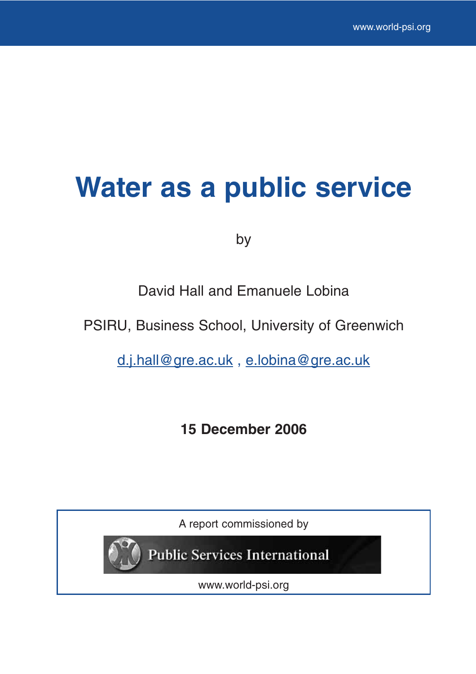# **Water as a public service**

by

David Hall and Emanuele Lobina

PSIRU, Business School, University of Greenwich

d.j.hall@gre.ac.uk , e.lobina@gre.ac.uk

**15 December 2006**

A report commissioned by



**Public Services International** 

www.world-psi.org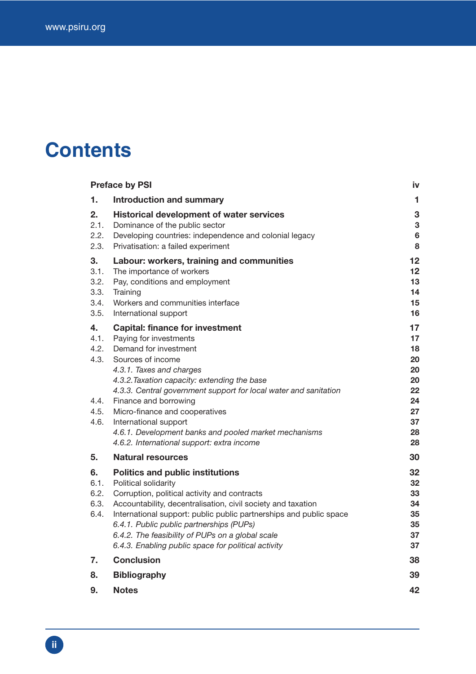## **Contents**

|                                            | <b>Preface by PSI</b>                                                                                                                                                                                                                                                                                                                                                                                        | İV                                           |
|--------------------------------------------|--------------------------------------------------------------------------------------------------------------------------------------------------------------------------------------------------------------------------------------------------------------------------------------------------------------------------------------------------------------------------------------------------------------|----------------------------------------------|
| 1.                                         | <b>Introduction and summary</b>                                                                                                                                                                                                                                                                                                                                                                              | 1                                            |
| 2.<br>2.1.<br>2.2.<br>2.3.                 | <b>Historical development of water services</b><br>Dominance of the public sector<br>Developing countries: independence and colonial legacy<br>Privatisation: a failed experiment                                                                                                                                                                                                                            | 3<br>3<br>$6\phantom{a}$<br>8                |
| 3.<br>3.1.<br>3.2.<br>3.3.<br>3.4.<br>3.5. | Labour: workers, training and communities<br>The importance of workers<br>Pay, conditions and employment<br>Training<br>Workers and communities interface<br>International support                                                                                                                                                                                                                           | 12<br>12<br>13<br>14<br>15<br>16             |
| 4.<br>4.1.<br>4.2.<br>4.3.<br>4.4.         | <b>Capital: finance for investment</b><br>Paying for investments<br>Demand for investment<br>Sources of income<br>4.3.1. Taxes and charges<br>4.3.2. Taxation capacity: extending the base<br>4.3.3. Central government support for local water and sanitation<br>Finance and borrowing                                                                                                                      | 17<br>17<br>18<br>20<br>20<br>20<br>22<br>24 |
| 4.5.<br>4.6.                               | Micro-finance and cooperatives<br>International support<br>4.6.1. Development banks and pooled market mechanisms<br>4.6.2. International support: extra income                                                                                                                                                                                                                                               | 27<br>37<br>28<br>28                         |
| 5.                                         | <b>Natural resources</b>                                                                                                                                                                                                                                                                                                                                                                                     | 30                                           |
| 6.<br>6.1.<br>6.2.<br>6.3.<br>6.4.         | <b>Politics and public institutions</b><br>Political solidarity<br>Corruption, political activity and contracts<br>Accountability, decentralisation, civil society and taxation<br>International support: public public partnerships and public space<br>6.4.1. Public public partnerships (PUPs)<br>6.4.2. The feasibility of PUPs on a global scale<br>6.4.3. Enabling public space for political activity | 32<br>32<br>33<br>34<br>35<br>35<br>37<br>37 |
| 7.                                         | <b>Conclusion</b>                                                                                                                                                                                                                                                                                                                                                                                            | 38                                           |
| 8.                                         | <b>Bibliography</b>                                                                                                                                                                                                                                                                                                                                                                                          | 39                                           |
| 9.                                         | Notes                                                                                                                                                                                                                                                                                                                                                                                                        | 42                                           |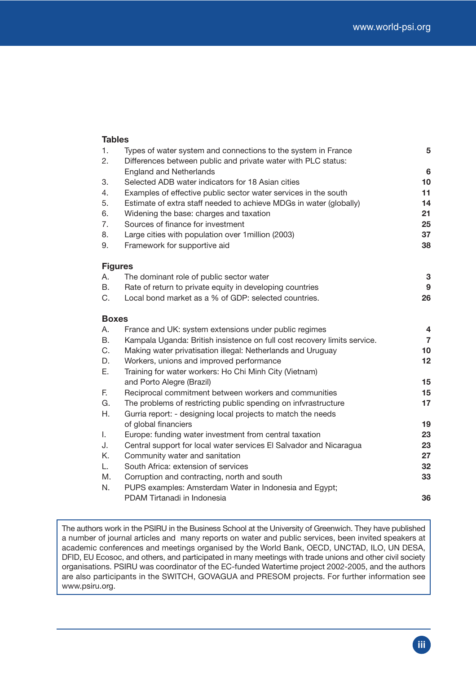#### **Tables**

| 1.           | Types of water system and connections to the system in France            | 5               |
|--------------|--------------------------------------------------------------------------|-----------------|
| 2.           | Differences between public and private water with PLC status:            |                 |
|              | <b>England and Netherlands</b>                                           | $6\phantom{1}6$ |
| 3.           | Selected ADB water indicators for 18 Asian cities                        | 10              |
| 4.           | Examples of effective public sector water services in the south          | 11              |
| 5.           | Estimate of extra staff needed to achieve MDGs in water (globally)       | 14              |
| 6.           | Widening the base: charges and taxation                                  | 21              |
| 7.           | Sources of finance for investment                                        | 25              |
| 8.           | Large cities with population over 1 million (2003)                       | 37              |
| 9.           | Framework for supportive aid                                             | 38              |
|              | <b>Figures</b>                                                           |                 |
| А.           | The dominant role of public sector water                                 | 3               |
| B.           | Rate of return to private equity in developing countries                 | 9               |
| C.           | Local bond market as a % of GDP: selected countries.                     | 26              |
| <b>Boxes</b> |                                                                          |                 |
| А.           | France and UK: system extensions under public regimes                    | 4               |
| B.           | Kampala Uganda: British insistence on full cost recovery limits service. | $\overline{7}$  |
| C.           | Making water privatisation illegal: Netherlands and Uruguay              | 10              |
| D.           | Workers, unions and improved performance                                 | 12              |
| Ε.           | Training for water workers: Ho Chi Minh City (Vietnam)                   |                 |
|              | and Porto Alegre (Brazil)                                                | 15              |
| F.           | Reciprocal commitment between workers and communities                    | 15              |
| G.           | The problems of restricting public spending on infyrastructure           | 17              |
| Η.           | Gurria report: - designing local projects to match the needs             |                 |
|              | of global financiers                                                     | 19              |
| L.           | Europe: funding water investment from central taxation                   | 23              |
| J.           | Central support for local water services El Salvador and Nicaragua       | 23              |
| Κ.           | Community water and sanitation                                           | 27              |
| L.           | South Africa: extension of services                                      | 32              |
| М.           | Corruption and contracting, north and south                              | 33              |
| N.           | PUPS examples: Amsterdam Water in Indonesia and Egypt;                   |                 |
|              | PDAM Tirtanadi in Indonesia                                              | 36              |

The authors work in the PSIRU in the Business School at the University of Greenwich. They have published a number of journal articles and many reports on water and public services, been invited speakers at academic conferences and meetings organised by the World Bank, OECD, UNCTAD, ILO, UN DESA, DFID, EU Ecosoc, and others, and participated in many meetings with trade unions and other civil society organisations. PSIRU was coordinator of the EC-funded Watertime project 2002-2005, and the authors are also participants in the SWITCH, GOVAGUA and PRESOM projects. For further information see www.psiru.org.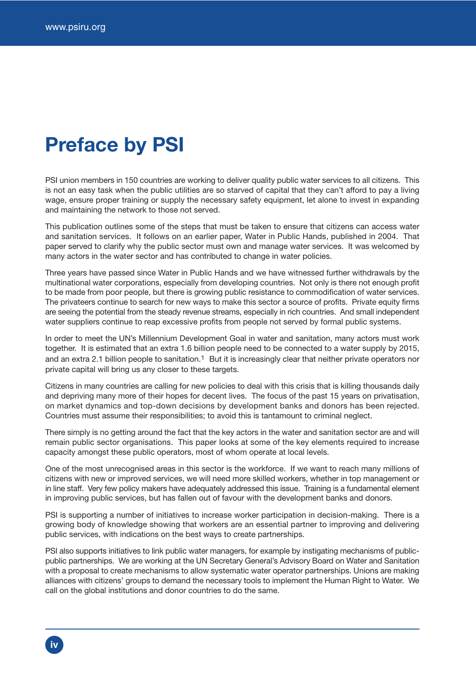## **Preface by PSI**

PSI union members in 150 countries are working to deliver quality public water services to all citizens. This is not an easy task when the public utilities are so starved of capital that they can't afford to pay a living wage, ensure proper training or supply the necessary safety equipment, let alone to invest in expanding and maintaining the network to those not served.

This publication outlines some of the steps that must be taken to ensure that citizens can access water and sanitation services. It follows on an earlier paper, Water in Public Hands, published in 2004. That paper served to clarify why the public sector must own and manage water services. It was welcomed by many actors in the water sector and has contributed to change in water policies.

Three years have passed since Water in Public Hands and we have witnessed further withdrawals by the multinational water corporations, especially from developing countries. Not only is there not enough profit to be made from poor people, but there is growing public resistance to commodification of water services. The privateers continue to search for new ways to make this sector a source of profits. Private equity firms are seeing the potential from the steady revenue streams, especially in rich countries. And small independent water suppliers continue to reap excessive profits from people not served by formal public systems.

In order to meet the UN's Millennium Development Goal in water and sanitation, many actors must work together. It is estimated that an extra 1.6 billion people need to be connected to a water supply by 2015, and an extra 2.1 billion people to sanitation.<sup>1</sup> But it is increasingly clear that neither private operators nor private capital will bring us any closer to these targets.

Citizens in many countries are calling for new policies to deal with this crisis that is killing thousands daily and depriving many more of their hopes for decent lives. The focus of the past 15 years on privatisation, on market dynamics and top-down decisions by development banks and donors has been rejected. Countries must assume their responsibilities; to avoid this is tantamount to criminal neglect.

There simply is no getting around the fact that the key actors in the water and sanitation sector are and will remain public sector organisations. This paper looks at some of the key elements required to increase capacity amongst these public operators, most of whom operate at local levels.

One of the most unrecognised areas in this sector is the workforce. If we want to reach many millions of citizens with new or improved services, we will need more skilled workers, whether in top management or in line staff. Very few policy makers have adequately addressed this issue. Training is a fundamental element in improving public services, but has fallen out of favour with the development banks and donors.

PSI is supporting a number of initiatives to increase worker participation in decision-making. There is a growing body of knowledge showing that workers are an essential partner to improving and delivering public services, with indications on the best ways to create partnerships.

PSI also supports initiatives to link public water managers, for example by instigating mechanisms of publicpublic partnerships. We are working at the UN Secretary General's Advisory Board on Water and Sanitation with a proposal to create mechanisms to allow systematic water operator partnerships. Unions are making alliances with citizens' groups to demand the necessary tools to implement the Human Right to Water. We call on the global institutions and donor countries to do the same.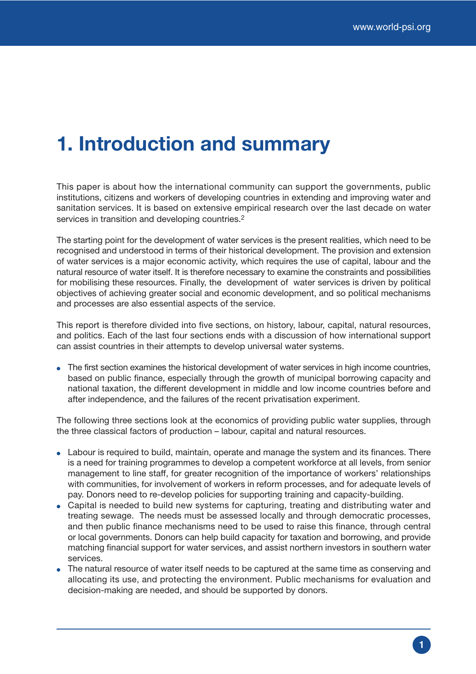## **1. Introduction and summary**

This paper is about how the international community can support the governments, public institutions, citizens and workers of developing countries in extending and improving water and sanitation services. It is based on extensive empirical research over the last decade on water services in transition and developing countries.<sup>2</sup>

The starting point for the development of water services is the present realities, which need to be recognised and understood in terms of their historical development. The provision and extension of water services is a major economic activity, which requires the use of capital, labour and the natural resource of water itself. It is therefore necessary to examine the constraints and possibilities for mobilising these resources. Finally, the development of water services is driven by political objectives of achieving greater social and economic development, and so political mechanisms and processes are also essential aspects of the service.

This report is therefore divided into five sections, on history, labour, capital, natural resources, and politics. Each of the last four sections ends with a discussion of how international support can assist countries in their attempts to develop universal water systems.

• The first section examines the historical development of water services in high income countries, based on public finance, especially through the growth of municipal borrowing capacity and national taxation, the different development in middle and low income countries before and after independence, and the failures of the recent privatisation experiment.

The following three sections look at the economics of providing public water supplies, through the three classical factors of production – labour, capital and natural resources.

- Labour is required to build, maintain, operate and manage the system and its finances. There is a need for training programmes to develop a competent workforce at all levels, from senior management to line staff, for greater recognition of the importance of workers' relationships with communities, for involvement of workers in reform processes, and for adequate levels of pay. Donors need to re-develop policies for supporting training and capacity-building.
- Capital is needed to build new systems for capturing, treating and distributing water and treating sewage. The needs must be assessed locally and through democratic processes, and then public finance mechanisms need to be used to raise this finance, through central or local governments. Donors can help build capacity for taxation and borrowing, and provide matching financial support for water services, and assist northern investors in southern water services.
- The natural resource of water itself needs to be captured at the same time as conserving and allocating its use, and protecting the environment. Public mechanisms for evaluation and decision-making are needed, and should be supported by donors.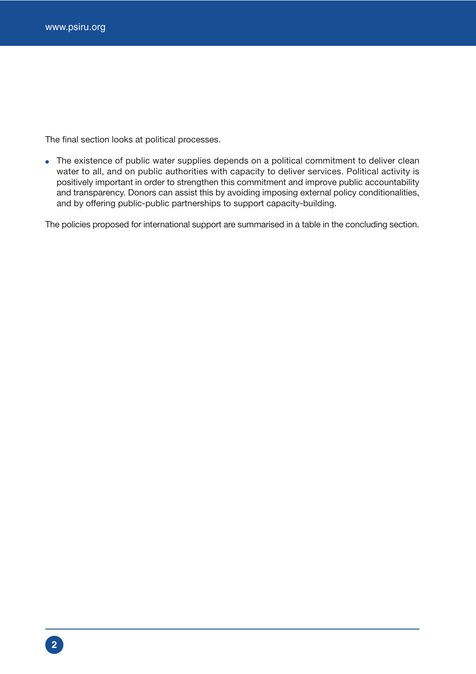The final section looks at political processes.

• The existence of public water supplies depends on a political commitment to deliver clean water to all, and on public authorities with capacity to deliver services. Political activity is positively important in order to strengthen this commitment and improve public accountability and transparency. Donors can assist this by avoiding imposing external policy conditionalities, and by offering public-public partnerships to support capacity-building.

The policies proposed for international support are summarised in a table in the concluding section.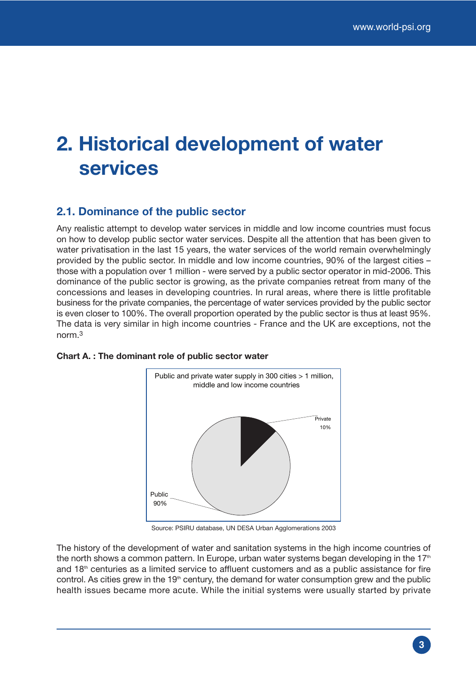## **2. Historical development of water services**

## **2.1. Dominance of the public sector**

Any realistic attempt to develop water services in middle and low income countries must focus on how to develop public sector water services. Despite all the attention that has been given to water privatisation in the last 15 years, the water services of the world remain overwhelmingly provided by the public sector. In middle and low income countries, 90% of the largest cities – those with a population over 1 million - were served by a public sector operator in mid-2006. This dominance of the public sector is growing, as the private companies retreat from many of the concessions and leases in developing countries. In rural areas, where there is little profitable business for the private companies, the percentage of water services provided by the public sector is even closer to 100%. The overall proportion operated by the public sector is thus at least 95%. The data is very similar in high income countries - France and the UK are exceptions, not the norm.3



### **Chart A. : The dominant role of public sector water**

Source: PSIRU database, UN DESA Urban Agglomerations 2003

The history of the development of water and sanitation systems in the high income countries of the north shows a common pattern. In Europe, urban water systems began developing in the  $17<sup>th</sup>$ and  $18<sup>th</sup>$  centuries as a limited service to affluent customers and as a public assistance for fire control. As cities grew in the  $19<sup>th</sup>$  century, the demand for water consumption grew and the public health issues became more acute. While the initial systems were usually started by private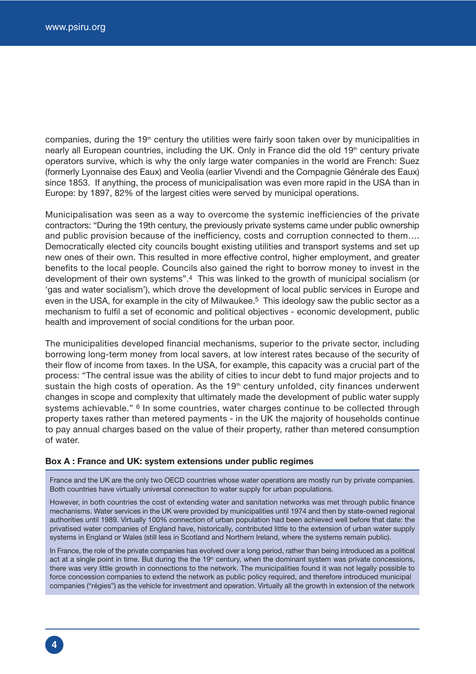companies, during the 19<sup>th</sup> century the utilities were fairly soon taken over by municipalities in nearly all European countries, including the UK. Only in France did the old 19<sup>th</sup> century private operators survive, which is why the only large water companies in the world are French: Suez (formerly Lyonnaise des Eaux) and Veolia (earlier Vivendi and the Compagnie Générale des Eaux) since 1853. If anything, the process of municipalisation was even more rapid in the USA than in Europe: by 1897, 82% of the largest cities were served by municipal operations.

Municipalisation was seen as a way to overcome the systemic inefficiencies of the private contractors: "During the 19th century, the previously private systems came under public ownership and public provision because of the inefficiency, costs and corruption connected to them…. Democratically elected city councils bought existing utilities and transport systems and set up new ones of their own. This resulted in more effective control, higher employment, and greater benefits to the local people. Councils also gained the right to borrow money to invest in the development of their own systems".4 This was linked to the growth of municipal socialism (or 'gas and water socialism'), which drove the development of local public services in Europe and even in the USA, for example in the city of Milwaukee.<sup>5</sup> This ideology saw the public sector as a mechanism to fulfil a set of economic and political objectives - economic development, public health and improvement of social conditions for the urban poor.

The municipalities developed financial mechanisms, superior to the private sector, including borrowing long-term money from local savers, at low interest rates because of the security of their flow of income from taxes. In the USA, for example, this capacity was a crucial part of the process: "The central issue was the ability of cities to incur debt to fund major projects and to sustain the high costs of operation. As the 19<sup>th</sup> century unfolded, city finances underwent changes in scope and complexity that ultimately made the development of public water supply systems achievable." <sup>6</sup> In some countries, water charges continue to be collected through property taxes rather than metered payments - in the UK the majority of households continue to pay annual charges based on the value of their property, rather than metered consumption of water.

#### **Box A : France and UK: system extensions under public regimes**

France and the UK are the only two OECD countries whose water operations are mostly run by private companies. Both countries have virtually universal connection to water supply for urban populations.

However, in both countries the cost of extending water and sanitation networks was met through public finance mechanisms. Water services in the UK were provided by municipalities until 1974 and then by state-owned regional authorities until 1989. Virtually 100% connection of urban population had been achieved well before that date: the privatised water companies of England have, historically, contributed little to the extension of urban water supply systems in England or Wales (still less in Scotland and Northern Ireland, where the systems remain public).

In France, the role of the private companies has evolved over a long period, rather than being introduced as a political act at a single point in time. But during the the 19<sup>th</sup> century, when the dominant system was private concessions, there was very little growth in connections to the network. The municipalities found it was not legally possible to force concession companies to extend the network as public policy required, and therefore introduced municipal companies ("régies") as the vehicle for investment and operation. Virtually all the growth in extension of the network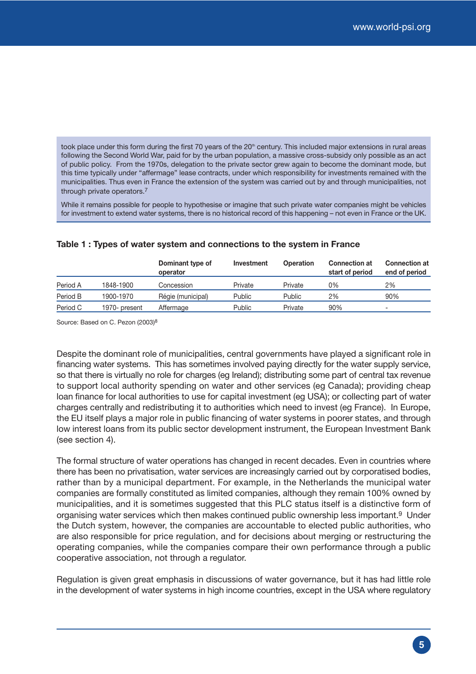took place under this form during the first 70 years of the 20<sup>th</sup> century. This included major extensions in rural areas following the Second World War, paid for by the urban population, a massive cross-subsidy only possible as an act of public policy. From the 1970s, delegation to the private sector grew again to become the dominant mode, but this time typically under "affermage" lease contracts, under which responsibility for investments remained with the municipalities. Thus even in France the extension of the system was carried out by and through municipalities, not through private operators.7

While it remains possible for people to hypothesise or imagine that such private water companies might be vehicles for investment to extend water systems, there is no historical record of this happening – not even in France or the UK.

|          |               | Dominant type of<br>operator | Investment | <b>Operation</b> | <b>Connection at</b><br>start of period | <b>Connection at</b><br>end of period |
|----------|---------------|------------------------------|------------|------------------|-----------------------------------------|---------------------------------------|
| Period A | 1848-1900     | Concession                   | Private    | Private          | 0%                                      | 2%                                    |
| Period B | 1900-1970     | Régie (municipal)            | Public     | Public           | 2%                                      | 90%                                   |
| Period C | 1970- present | Affermage                    | Public     | Private          | 90%                                     | $\overline{\phantom{a}}$              |

#### **Table 1 : Types of water system and connections to the system in France**

Source: Based on C. Pezon (2003)8

Despite the dominant role of municipalities, central governments have played a significant role in financing water systems. This has sometimes involved paying directly for the water supply service, so that there is virtually no role for charges (eg Ireland); distributing some part of central tax revenue to support local authority spending on water and other services (eg Canada); providing cheap loan finance for local authorities to use for capital investment (eg USA); or collecting part of water charges centrally and redistributing it to authorities which need to invest (eg France). In Europe, the EU itself plays a major role in public financing of water systems in poorer states, and through low interest loans from its public sector development instrument, the European Investment Bank (see section 4).

The formal structure of water operations has changed in recent decades. Even in countries where there has been no privatisation, water services are increasingly carried out by corporatised bodies, rather than by a municipal department. For example, in the Netherlands the municipal water companies are formally constituted as limited companies, although they remain 100% owned by municipalities, and it is sometimes suggested that this PLC status itself is a distinctive form of organising water services which then makes continued public ownership less important.9 Under the Dutch system, however, the companies are accountable to elected public authorities, who are also responsible for price regulation, and for decisions about merging or restructuring the operating companies, while the companies compare their own performance through a public cooperative association, not through a regulator.

Regulation is given great emphasis in discussions of water governance, but it has had little role in the development of water systems in high income countries, except in the USA where regulatory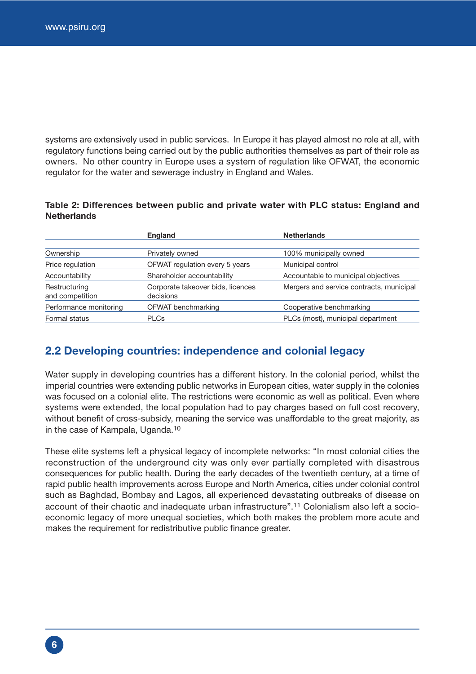systems are extensively used in public services. In Europe it has played almost no role at all, with regulatory functions being carried out by the public authorities themselves as part of their role as owners. No other country in Europe uses a system of regulation like OFWAT, the economic regulator for the water and sewerage industry in England and Wales.

#### **Table 2: Differences between public and private water with PLC status: England and Netherlands**

|                                  | England                                        | <b>Netherlands</b>                       |
|----------------------------------|------------------------------------------------|------------------------------------------|
|                                  |                                                |                                          |
| Ownership                        | Privately owned                                | 100% municipally owned                   |
| Price regulation                 | OFWAT regulation every 5 years                 | Municipal control                        |
| Accountability                   | Shareholder accountability                     | Accountable to municipal objectives      |
| Restructuring<br>and competition | Corporate takeover bids, licences<br>decisions | Mergers and service contracts, municipal |
| Performance monitoring           | OFWAT benchmarking                             | Cooperative benchmarking                 |
| Formal status                    | <b>PLCs</b>                                    | PLCs (most), municipal department        |

### **2.2 Developing countries: independence and colonial legacy**

Water supply in developing countries has a different history. In the colonial period, whilst the imperial countries were extending public networks in European cities, water supply in the colonies was focused on a colonial elite. The restrictions were economic as well as political. Even where systems were extended, the local population had to pay charges based on full cost recovery, without benefit of cross-subsidy, meaning the service was unaffordable to the great majority, as in the case of Kampala, Uganda.10

These elite systems left a physical legacy of incomplete networks: "In most colonial cities the reconstruction of the underground city was only ever partially completed with disastrous consequences for public health. During the early decades of the twentieth century, at a time of rapid public health improvements across Europe and North America, cities under colonial control such as Baghdad, Bombay and Lagos, all experienced devastating outbreaks of disease on account of their chaotic and inadequate urban infrastructure".11 Colonialism also left a socioeconomic legacy of more unequal societies, which both makes the problem more acute and makes the requirement for redistributive public finance greater.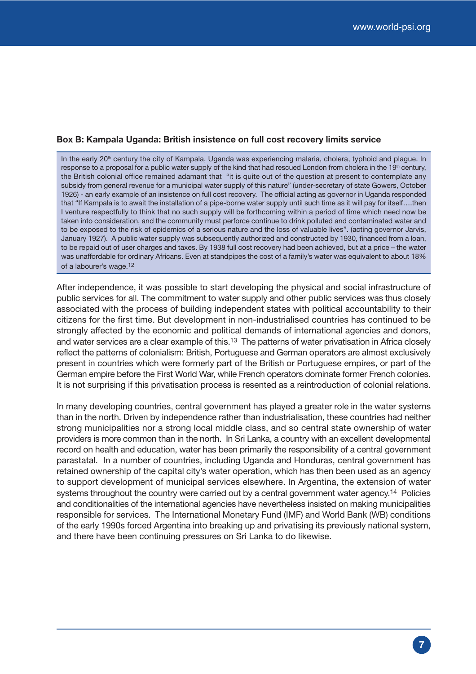#### **Box B: Kampala Uganda: British insistence on full cost recovery limits service**

In the early 20<sup>th</sup> century the city of Kampala, Uganda was experiencing malaria, cholera, typhoid and plague. In response to a proposal for a public water supply of the kind that had rescued London from cholera in the 19th century, the British colonial office remained adamant that "it is quite out of the question at present to contemplate any subsidy from general revenue for a municipal water supply of this nature" (under-secretary of state Gowers, October 1926) - an early example of an insistence on full cost recovery. The official acting as governor in Uganda responded that "If Kampala is to await the installation of a pipe-borne water supply until such time as it will pay for itself….then I venture respectfully to think that no such supply will be forthcoming within a period of time which need now be taken into consideration, and the community must perforce continue to drink polluted and contaminated water and to be exposed to the risk of epidemics of a serious nature and the loss of valuable lives". (acting governor Jarvis, January 1927). A public water supply was subsequently authorized and constructed by 1930, financed from a loan, to be repaid out of user charges and taxes. By 1938 full cost recovery had been achieved, but at a price – the water was unaffordable for ordinary Africans. Even at standpipes the cost of a family's water was equivalent to about 18% of a labourer's wage.12

After independence, it was possible to start developing the physical and social infrastructure of public services for all. The commitment to water supply and other public services was thus closely associated with the process of building independent states with political accountability to their citizens for the first time. But development in non-industrialised countries has continued to be strongly affected by the economic and political demands of international agencies and donors, and water services are a clear example of this.13 The patterns of water privatisation in Africa closely reflect the patterns of colonialism: British, Portuguese and German operators are almost exclusively present in countries which were formerly part of the British or Portuguese empires, or part of the German empire before the First World War, while French operators dominate former French colonies. It is not surprising if this privatisation process is resented as a reintroduction of colonial relations.

In many developing countries, central government has played a greater role in the water systems than in the north. Driven by independence rather than industrialisation, these countries had neither strong municipalities nor a strong local middle class, and so central state ownership of water providers is more common than in the north. In Sri Lanka, a country with an excellent developmental record on health and education, water has been primarily the responsibility of a central government parastatal. In a number of countries, including Uganda and Honduras, central government has retained ownership of the capital city's water operation, which has then been used as an agency to support development of municipal services elsewhere. In Argentina, the extension of water systems throughout the country were carried out by a central government water agency.<sup>14</sup> Policies and conditionalities of the international agencies have nevertheless insisted on making municipalities responsible for services. The International Monetary Fund (IMF) and World Bank (WB) conditions of the early 1990s forced Argentina into breaking up and privatising its previously national system, and there have been continuing pressures on Sri Lanka to do likewise.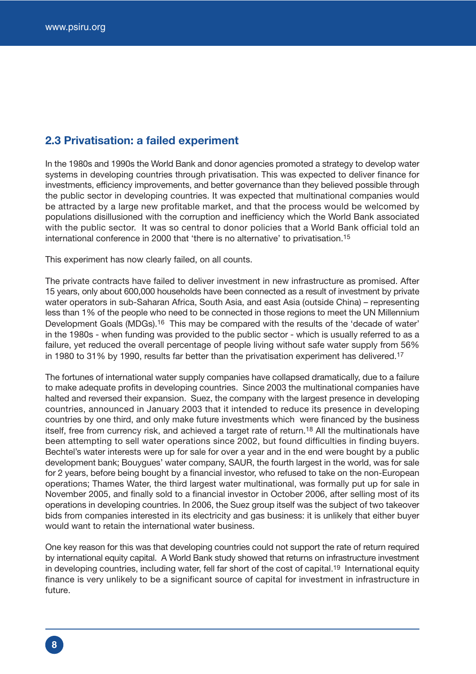### **2.3 Privatisation: a failed experiment**

In the 1980s and 1990s the World Bank and donor agencies promoted a strategy to develop water systems in developing countries through privatisation. This was expected to deliver finance for investments, efficiency improvements, and better governance than they believed possible through the public sector in developing countries. It was expected that multinational companies would be attracted by a large new profitable market, and that the process would be welcomed by populations disillusioned with the corruption and inefficiency which the World Bank associated with the public sector. It was so central to donor policies that a World Bank official told an international conference in 2000 that 'there is no alternative' to privatisation.15

This experiment has now clearly failed, on all counts.

The private contracts have failed to deliver investment in new infrastructure as promised. After 15 years, only about 600,000 households have been connected as a result of investment by private water operators in sub-Saharan Africa, South Asia, and east Asia (outside China) – representing less than 1% of the people who need to be connected in those regions to meet the UN Millennium Development Goals (MDGs).<sup>16</sup> This may be compared with the results of the 'decade of water' in the 1980s - when funding was provided to the public sector - which is usually referred to as a failure, yet reduced the overall percentage of people living without safe water supply from 56% in 1980 to 31% by 1990, results far better than the privatisation experiment has delivered.<sup>17</sup>

The fortunes of international water supply companies have collapsed dramatically, due to a failure to make adequate profits in developing countries. Since 2003 the multinational companies have halted and reversed their expansion. Suez, the company with the largest presence in developing countries, announced in January 2003 that it intended to reduce its presence in developing countries by one third, and only make future investments which were financed by the business itself, free from currency risk, and achieved a target rate of return.<sup>18</sup> All the multinationals have been attempting to sell water operations since 2002, but found difficulties in finding buyers. Bechtel's water interests were up for sale for over a year and in the end were bought by a public development bank; Bouygues' water company, SAUR, the fourth largest in the world, was for sale for 2 years, before being bought by a financial investor, who refused to take on the non-European operations; Thames Water, the third largest water multinational, was formally put up for sale in November 2005, and finally sold to a financial investor in October 2006, after selling most of its operations in developing countries. In 2006, the Suez group itself was the subject of two takeover bids from companies interested in its electricity and gas business: it is unlikely that either buyer would want to retain the international water business.

One key reason for this was that developing countries could not support the rate of return required by international equity capital. A World Bank study showed that returns on infrastructure investment in developing countries, including water, fell far short of the cost of capital.<sup>19</sup> International equity finance is very unlikely to be a significant source of capital for investment in infrastructure in future.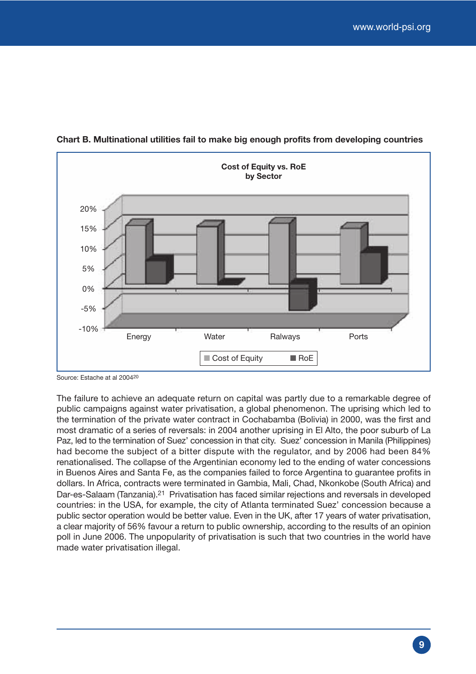

**Chart B. Multinational utilities fail to make big enough profits from developing countries**

Source: Estache at al 200420

The failure to achieve an adequate return on capital was partly due to a remarkable degree of public campaigns against water privatisation, a global phenomenon. The uprising which led to the termination of the private water contract in Cochabamba (Bolivia) in 2000, was the first and most dramatic of a series of reversals: in 2004 another uprising in El Alto, the poor suburb of La Paz, led to the termination of Suez' concession in that city. Suez' concession in Manila (Philippines) had become the subject of a bitter dispute with the regulator, and by 2006 had been 84% renationalised. The collapse of the Argentinian economy led to the ending of water concessions in Buenos Aires and Santa Fe, as the companies failed to force Argentina to guarantee profits in dollars. In Africa, contracts were terminated in Gambia, Mali, Chad, Nkonkobe (South Africa) and Dar-es-Salaam (Tanzania).21 Privatisation has faced similar rejections and reversals in developed countries: in the USA, for example, the city of Atlanta terminated Suez' concession because a public sector operation would be better value. Even in the UK, after 17 years of water privatisation, a clear majority of 56% favour a return to public ownership, according to the results of an opinion poll in June 2006. The unpopularity of privatisation is such that two countries in the world have made water privatisation illegal.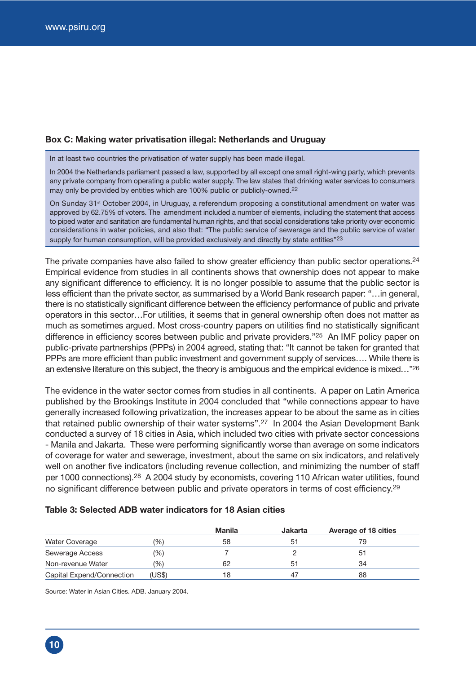#### **Box C: Making water privatisation illegal: Netherlands and Uruguay**

In at least two countries the privatisation of water supply has been made illegal.

In 2004 the Netherlands parliament passed a law, supported by all except one small right-wing party, which prevents any private company from operating a public water supply. The law states that drinking water services to consumers may only be provided by entities which are 100% public or publicly-owned.<sup>22</sup>

On Sunday 31<sup>st</sup> October 2004, in Uruguay, a referendum proposing a constitutional amendment on water was approved by 62.75% of voters. The amendment included a number of elements, including the statement that access to piped water and sanitation are fundamental human rights, and that social considerations take priority over economic considerations in water policies, and also that: "The public service of sewerage and the public service of water supply for human consumption, will be provided exclusively and directly by state entities"<sup>23</sup>

The private companies have also failed to show greater efficiency than public sector operations.<sup>24</sup> Empirical evidence from studies in all continents shows that ownership does not appear to make any significant difference to efficiency. It is no longer possible to assume that the public sector is less efficient than the private sector, as summarised by a World Bank research paper: "…in general, there is no statistically significant difference between the efficiency performance of public and private operators in this sector…For utilities, it seems that in general ownership often does not matter as much as sometimes argued. Most cross-country papers on utilities find no statistically significant difference in efficiency scores between public and private providers."25 An IMF policy paper on public-private partnerships (PPPs) in 2004 agreed, stating that: "It cannot be taken for granted that PPPs are more efficient than public investment and government supply of services…. While there is an extensive literature on this subject, the theory is ambiguous and the empirical evidence is mixed…"26

The evidence in the water sector comes from studies in all continents. A paper on Latin America published by the Brookings Institute in 2004 concluded that "while connections appear to have generally increased following privatization, the increases appear to be about the same as in cities that retained public ownership of their water systems".27 In 2004 the Asian Development Bank conducted a survey of 18 cities in Asia, which included two cities with private sector concessions - Manila and Jakarta. These were performing significantly worse than average on some indicators of coverage for water and sewerage, investment, about the same on six indicators, and relatively well on another five indicators (including revenue collection, and minimizing the number of staff per 1000 connections).28 A 2004 study by economists, covering 110 African water utilities, found no significant difference between public and private operators in terms of cost efficiency.<sup>29</sup>

#### **Table 3: Selected ADB water indicators for 18 Asian cities**

|                           |                | <b>Manila</b> | <b>Jakarta</b> | <b>Average of 18 cities</b> |
|---------------------------|----------------|---------------|----------------|-----------------------------|
| <b>Water Coverage</b>     | $\frac{10}{6}$ | 58            |                |                             |
| Sewerage Access           | (%)            |               |                |                             |
| Non-revenue Water         | (%)            | 62            |                | 34                          |
| Capital Expend/Connection | (US\$)         | 18            |                | 88                          |

Source: Water in Asian Cities. ADB. January 2004.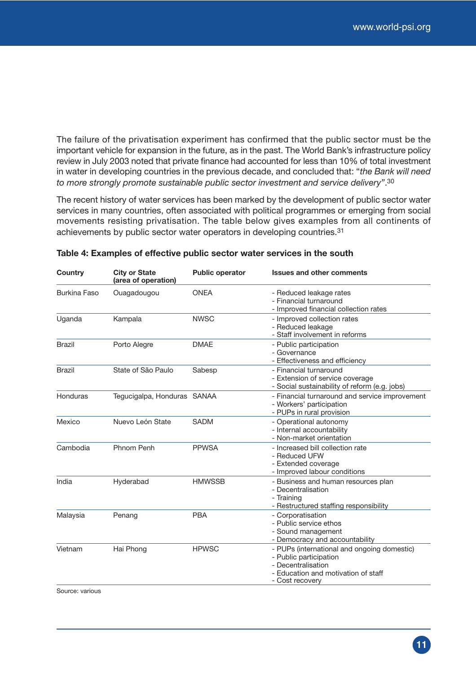The failure of the privatisation experiment has confirmed that the public sector must be the important vehicle for expansion in the future, as in the past. The World Bank's infrastructure policy review in July 2003 noted that private finance had accounted for less than 10% of total investment in water in developing countries in the previous decade, and concluded that: "*the Bank will need to more strongly promote sustainable public sector investment and service delivery"*.30

The recent history of water services has been marked by the development of public sector water services in many countries, often associated with political programmes or emerging from social movements resisting privatisation. The table below gives examples from all continents of achievements by public sector water operators in developing countries.31

| Country             | <b>City or State</b><br>(area of operation) | <b>Public operator</b> | <b>Issues and other comments</b>                                                                                                                      |
|---------------------|---------------------------------------------|------------------------|-------------------------------------------------------------------------------------------------------------------------------------------------------|
| <b>Burkina Faso</b> | Ouagadougou                                 | <b>ONEA</b>            | - Reduced leakage rates<br>- Financial turnaround<br>- Improved financial collection rates                                                            |
| Uganda              | Kampala                                     | <b>NWSC</b>            | - Improved collection rates<br>- Reduced leakage<br>- Staff involvement in reforms                                                                    |
| <b>Brazil</b>       | Porto Alegre                                | <b>DMAE</b>            | - Public participation<br>- Governance<br>- Effectiveness and efficiency                                                                              |
| <b>Brazil</b>       | State of São Paulo                          | Sabesp                 | - Financial turnaround<br>- Extension of service coverage<br>- Social sustainability of reform (e.g. jobs)                                            |
| Honduras            | Tegucigalpa, Honduras SANAA                 |                        | - Financial turnaround and service improvement<br>- Workers' participation<br>- PUPs in rural provision                                               |
| Mexico              | Nuevo León State                            | <b>SADM</b>            | - Operational autonomy<br>- Internal accountability<br>- Non-market orientation                                                                       |
| Cambodia            | Phnom Penh                                  | <b>PPWSA</b>           | - Increased bill collection rate<br>- Reduced UFW<br>- Extended coverage<br>- Improved labour conditions                                              |
| India               | Hyderabad                                   | <b>HMWSSB</b>          | - Business and human resources plan<br>- Decentralisation<br>- Training<br>- Restructured staffing responsibility                                     |
| Malaysia            | Penang                                      | <b>PBA</b>             | - Corporatisation<br>- Public service ethos<br>- Sound management<br>- Democracy and accountability                                                   |
| Vietnam             | Hai Phong                                   | <b>HPWSC</b>           | - PUPs (international and ongoing domestic)<br>- Public participation<br>- Decentralisation<br>- Education and motivation of staff<br>- Cost recovery |

Source: various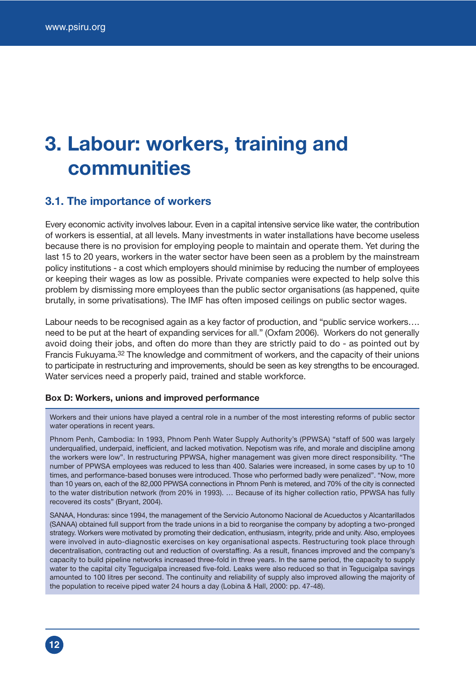## **3. Labour: workers, training and communities**

### **3.1. The importance of workers**

Every economic activity involves labour. Even in a capital intensive service like water, the contribution of workers is essential, at all levels. Many investments in water installations have become useless because there is no provision for employing people to maintain and operate them. Yet during the last 15 to 20 years, workers in the water sector have been seen as a problem by the mainstream policy institutions - a cost which employers should minimise by reducing the number of employees or keeping their wages as low as possible. Private companies were expected to help solve this problem by dismissing more employees than the public sector organisations (as happened, quite brutally, in some privatisations). The IMF has often imposed ceilings on public sector wages.

Labour needs to be recognised again as a key factor of production, and "public service workers…. need to be put at the heart of expanding services for all." (Oxfam 2006). Workers do not generally avoid doing their jobs, and often do more than they are strictly paid to do - as pointed out by Francis Fukuyama.32 The knowledge and commitment of workers, and the capacity of their unions to participate in restructuring and improvements, should be seen as key strengths to be encouraged. Water services need a properly paid, trained and stable workforce.

#### **Box D: Workers, unions and improved performance**

Workers and their unions have played a central role in a number of the most interesting reforms of public sector water operations in recent years.

Phnom Penh, Cambodia: In 1993, Phnom Penh Water Supply Authority's (PPWSA) "staff of 500 was largely underqualified, underpaid, inefficient, and lacked motivation. Nepotism was rife, and morale and discipline among the workers were low". In restructuring PPWSA, higher management was given more direct responsibility. "The number of PPWSA employees was reduced to less than 400. Salaries were increased, in some cases by up to 10 times, and performance-based bonuses were introduced. Those who performed badly were penalized". "Now, more than 10 years on, each of the 82,000 PPWSA connections in Phnom Penh is metered, and 70% of the city is connected to the water distribution network (from 20% in 1993). … Because of its higher collection ratio, PPWSA has fully recovered its costs" (Bryant, 2004).

SANAA, Honduras: since 1994, the management of the Servicio Autonomo Nacional de Acueductos y Alcantarillados (SANAA) obtained full support from the trade unions in a bid to reorganise the company by adopting a two-pronged strategy. Workers were motivated by promoting their dedication, enthusiasm, integrity, pride and unity. Also, employees were involved in auto-diagnostic exercises on key organisational aspects. Restructuring took place through decentralisation, contracting out and reduction of overstaffing. As a result, finances improved and the company's capacity to build pipeline networks increased three-fold in three years. In the same period, the capacity to supply water to the capital city Tegucigalpa increased five-fold. Leaks were also reduced so that in Tegucigalpa savings amounted to 100 litres per second. The continuity and reliability of supply also improved allowing the majority of the population to receive piped water 24 hours a day (Lobina & Hall, 2000: pp. 47-48).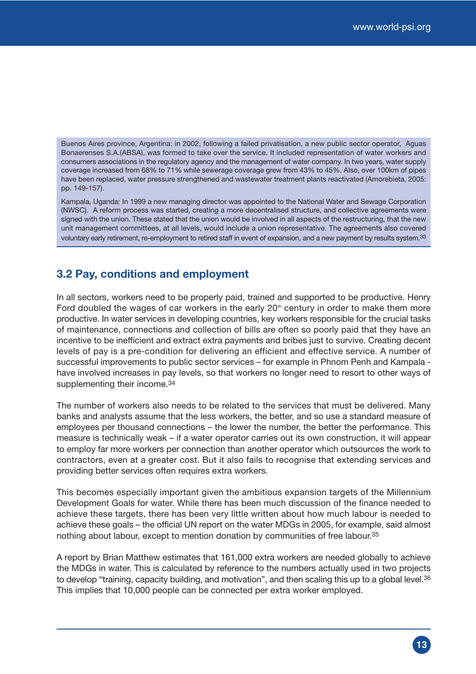Buenos Aires province, Argentina: in 2002, following a failed privatisation, a new public sector operator, Aguas Bonaerenses S.A.(ABSA), was formed to take over the service. It included representation of water workers and consumers associations in the regulatory agency and the management of water company. In two years, water supply coverage increased from 68% to 71% while sewerage coverage grew from 43% to 45%. Also, over 100km of pipes have been replaced, water pressure strengthened and wastewater treatment plants reactivated (Amorebieta, 2005: pp. 149-157).

Kampala, Uganda: In 1999 a new managing director was appointed to the National Water and Sewage Corporation (NWSC). A reform process was started, creating a more decentralised structure, and collective agreements were signed with the union. These stated that the union would be involved in all aspects of the restructuring, that the new unit management committees, at all levels, would include a union representative. The agreements also covered voluntary early retirement, re-employment to retired staff in event of expansion, and a new payment by results system.<sup>33</sup>

### **3.2 Pay, conditions and employment**

In all sectors, workers need to be properly paid, trained and supported to be productive. Henry Ford doubled the wages of car workers in the early  $20<sup>th</sup>$  century in order to make them more productive. In water services in developing countries, key workers responsible for the crucial tasks of maintenance, connections and collection of bills are often so poorly paid that they have an incentive to be inefficient and extract extra payments and bribes just to survive. Creating decent levels of pay is a pre-condition for delivering an efficient and effective service. A number of successful improvements to public sector services – for example in Phnom Penh and Kampala have involved increases in pay levels, so that workers no longer need to resort to other ways of supplementing their income.<sup>34</sup>

The number of workers also needs to be related to the services that must be delivered. Many banks and analysts assume that the less workers, the better, and so use a standard measure of employees per thousand connections – the lower the number, the better the performance. This measure is technically weak – if a water operator carries out its own construction, it will appear to employ far more workers per connection than another operator which outsources the work to contractors, even at a greater cost. But it also fails to recognise that extending services and providing better services often requires extra workers.

This becomes especially important given the ambitious expansion targets of the Millennium Development Goals for water. While there has been much discussion of the finance needed to achieve these targets, there has been very little written about how much labour is needed to achieve these goals – the official UN report on the water MDGs in 2005, for example, said almost nothing about labour, except to mention donation by communities of free labour.<sup>35</sup>

A report by Brian Matthew estimates that 161,000 extra workers are needed globally to achieve the MDGs in water. This is calculated by reference to the numbers actually used in two projects to develop "training, capacity building, and motivation", and then scaling this up to a global level.<sup>36</sup> This implies that 10,000 people can be connected per extra worker employed.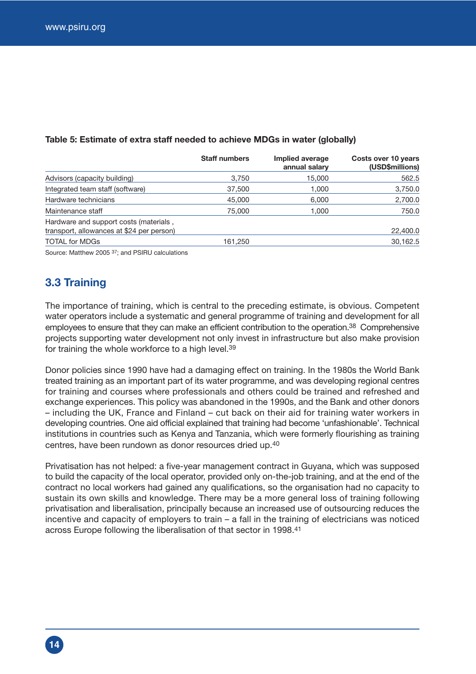|                                                                                     | <b>Staff numbers</b> | Implied average<br>annual salary | Costs over 10 years<br>(USD\$millions) |
|-------------------------------------------------------------------------------------|----------------------|----------------------------------|----------------------------------------|
| Advisors (capacity building)                                                        | 3,750                | 15,000                           | 562.5                                  |
| Integrated team staff (software)                                                    | 37,500               | 1.000                            | 3,750.0                                |
| Hardware technicians                                                                | 45,000               | 6.000                            | 2,700.0                                |
| Maintenance staff                                                                   | 75,000               | 1.000                            | 750.0                                  |
| Hardware and support costs (materials,<br>transport, allowances at \$24 per person) |                      |                                  | 22,400.0                               |
| <b>TOTAL for MDGs</b>                                                               | 161,250              |                                  | 30,162.5                               |

#### **Table 5: Estimate of extra staff needed to achieve MDGs in water (globally)**

Source: Matthew 2005 37; and PSIRU calculations

## **3.3 Training**

The importance of training, which is central to the preceding estimate, is obvious. Competent water operators include a systematic and general programme of training and development for all employees to ensure that they can make an efficient contribution to the operation.38 Comprehensive projects supporting water development not only invest in infrastructure but also make provision for training the whole workforce to a high level.39

Donor policies since 1990 have had a damaging effect on training. In the 1980s the World Bank treated training as an important part of its water programme, and was developing regional centres for training and courses where professionals and others could be trained and refreshed and exchange experiences. This policy was abandoned in the 1990s, and the Bank and other donors – including the UK, France and Finland – cut back on their aid for training water workers in developing countries. One aid official explained that training had become 'unfashionable'. Technical institutions in countries such as Kenya and Tanzania, which were formerly flourishing as training centres, have been rundown as donor resources dried up.40

Privatisation has not helped: a five-year management contract in Guyana, which was supposed to build the capacity of the local operator, provided only on-the-job training, and at the end of the contract no local workers had gained any qualifications, so the organisation had no capacity to sustain its own skills and knowledge. There may be a more general loss of training following privatisation and liberalisation, principally because an increased use of outsourcing reduces the incentive and capacity of employers to train – a fall in the training of electricians was noticed across Europe following the liberalisation of that sector in 1998.41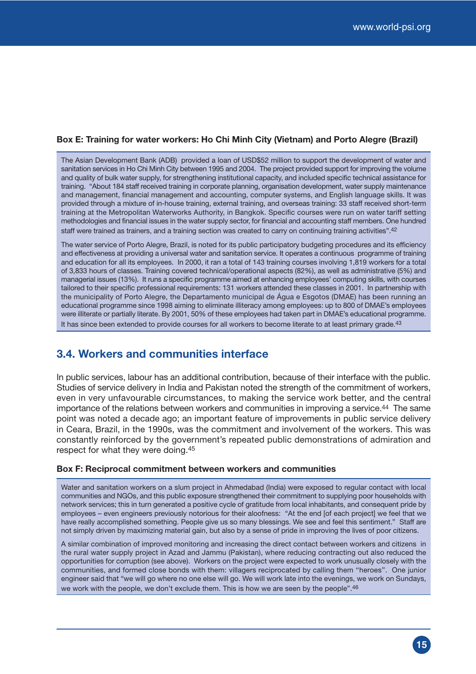#### **Box E: Training for water workers: Ho Chi Minh City (Vietnam) and Porto Alegre (Brazil)**

The Asian Development Bank (ADB) provided a loan of USD\$52 million to support the development of water and sanitation services in Ho Chi Minh City between 1995 and 2004. The project provided support for improving the volume and quality of bulk water supply, for strengthening institutional capacity, and included specific technical assistance for training. "About 184 staff received training in corporate planning, organisation development, water supply maintenance and management, financial management and accounting, computer systems, and English language skills. It was provided through a mixture of in-house training, external training, and overseas training: 33 staff received short-term training at the Metropolitan Waterworks Authority, in Bangkok. Specific courses were run on water tariff setting methodologies and financial issues in the water supply sector, for financial and accounting staff members. One hundred staff were trained as trainers, and a training section was created to carry on continuing training activities".42

The water service of Porto Alegre, Brazil, is noted for its public participatory budgeting procedures and its efficiency and effectiveness at providing a universal water and sanitation service. It operates a continuous programme of training and education for all its employees. In 2000, it ran a total of 143 training courses involving 1,819 workers for a total of 3,833 hours of classes. Training covered technical/operational aspects (82%), as well as administrative (5%) and managerial issues (13%). It runs a specific programme aimed at enhancing employees' computing skills, with courses tailored to their specific professional requirements: 131 workers attended these classes in 2001. In partnership with the municipality of Porto Alegre, the Departamento municipal de Água e Esgotos (DMAE) has been running an educational programme since 1998 aiming to eliminate illiteracy among employees: up to 800 of DMAE's employees were illiterate or partially literate. By 2001, 50% of these employees had taken part in DMAE's educational programme. It has since been extended to provide courses for all workers to become literate to at least primary grade.<sup>43</sup>

### **3.4. Workers and communities interface**

In public services, labour has an additional contribution, because of their interface with the public. Studies of service delivery in India and Pakistan noted the strength of the commitment of workers, even in very unfavourable circumstances, to making the service work better, and the central importance of the relations between workers and communities in improving a service.44 The same point was noted a decade ago; an important feature of improvements in public service delivery in Ceara, Brazil, in the 1990s, was the commitment and involvement of the workers. This was constantly reinforced by the government's repeated public demonstrations of admiration and respect for what they were doing.45

#### **Box F: Reciprocal commitment between workers and communities**

Water and sanitation workers on a slum project in Ahmedabad (India) were exposed to regular contact with local communities and NGOs, and this public exposure strengthened their commitment to supplying poor households with network services; this in turn generated a positive cycle of gratitude from local inhabitants, and consequent pride by employees – even engineers previously notorious for their aloofness: "At the end [of each project] we feel that we have really accomplished something. People give us so many blessings. We see and feel this sentiment." Staff are not simply driven by maximizing material gain, but also by a sense of pride in improving the lives of poor citizens.

A similar combination of improved monitoring and increasing the direct contact between workers and citizens in the rural water supply project in Azad and Jammu (Pakistan), where reducing contracting out also reduced the opportunities for corruption (see above). Workers on the project were expected to work unusually closely with the communities, and formed close bonds with them: villagers reciprocated by calling them ''heroes''. One junior engineer said that "we will go where no one else will go. We will work late into the evenings, we work on Sundays, we work with the people, we don't exclude them. This is how we are seen by the people".<sup>46</sup>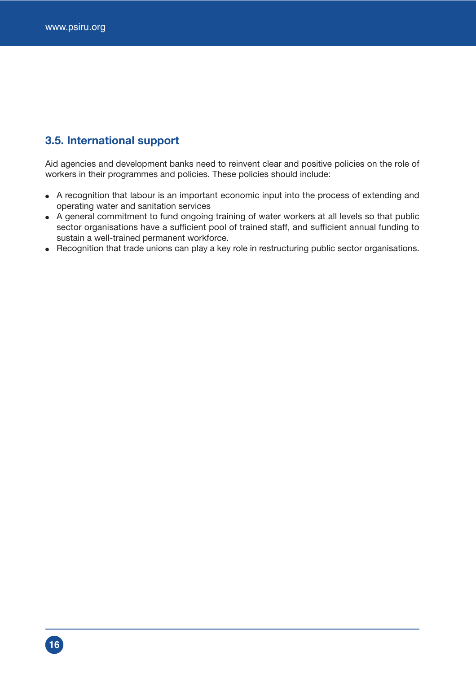## **3.5. International support**

Aid agencies and development banks need to reinvent clear and positive policies on the role of workers in their programmes and policies. These policies should include:

- A recognition that labour is an important economic input into the process of extending and operating water and sanitation services
- A general commitment to fund ongoing training of water workers at all levels so that public sector organisations have a sufficient pool of trained staff, and sufficient annual funding to sustain a well-trained permanent workforce.
- Recognition that trade unions can play a key role in restructuring public sector organisations.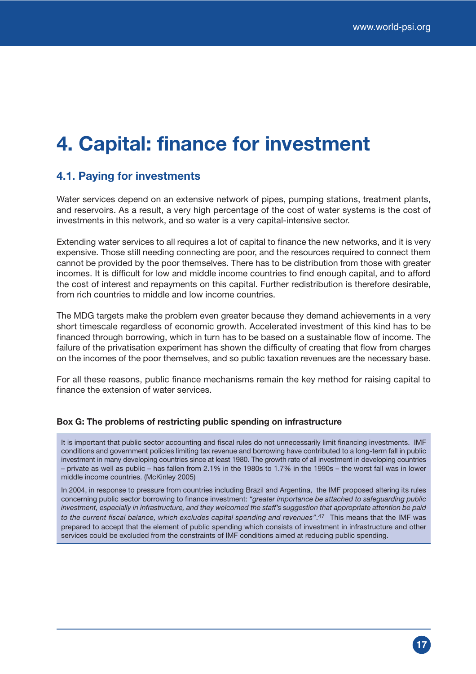## **4. Capital: finance for investment**

### **4.1. Paying for investments**

Water services depend on an extensive network of pipes, pumping stations, treatment plants, and reservoirs. As a result, a very high percentage of the cost of water systems is the cost of investments in this network, and so water is a very capital-intensive sector.

Extending water services to all requires a lot of capital to finance the new networks, and it is very expensive. Those still needing connecting are poor, and the resources required to connect them cannot be provided by the poor themselves. There has to be distribution from those with greater incomes. It is difficult for low and middle income countries to find enough capital, and to afford the cost of interest and repayments on this capital. Further redistribution is therefore desirable, from rich countries to middle and low income countries.

The MDG targets make the problem even greater because they demand achievements in a very short timescale regardless of economic growth. Accelerated investment of this kind has to be financed through borrowing, which in turn has to be based on a sustainable flow of income. The failure of the privatisation experiment has shown the difficulty of creating that flow from charges on the incomes of the poor themselves, and so public taxation revenues are the necessary base.

For all these reasons, public finance mechanisms remain the key method for raising capital to finance the extension of water services.

#### **Box G: The problems of restricting public spending on infrastructure**

It is important that public sector accounting and fiscal rules do not unnecessarily limit financing investments. IMF conditions and government policies limiting tax revenue and borrowing have contributed to a long-term fall in public investment in many developing countries since at least 1980. The growth rate of all investment in developing countries – private as well as public – has fallen from 2.1% in the 1980s to 1.7% in the 1990s – the worst fall was in lower middle income countries. (McKinley 2005)

In 2004, in response to pressure from countries including Brazil and Argentina, the IMF proposed altering its rules concerning public sector borrowing to finance investment: *"greater importance be attached to safeguarding public investment, especially in infrastructure, and they welcomed the staff's suggestion that appropriate attention be paid to the current fiscal balance, which excludes capital spending and revenues"*.47 This means that the IMF was prepared to accept that the element of public spending which consists of investment in infrastructure and other services could be excluded from the constraints of IMF conditions aimed at reducing public spending.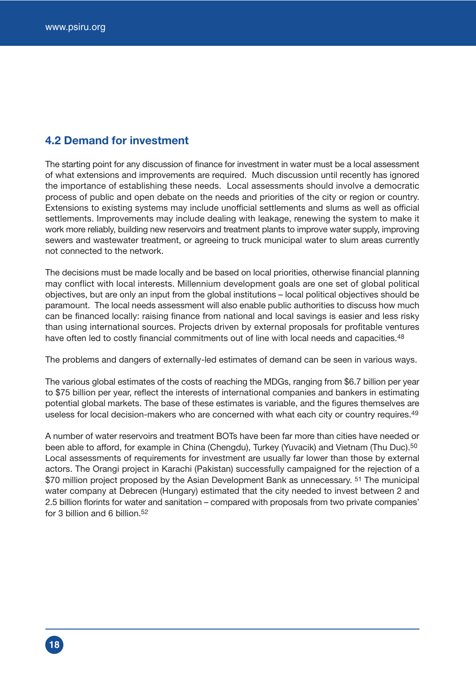## **4.2 Demand for investment**

The starting point for any discussion of finance for investment in water must be a local assessment of what extensions and improvements are required. Much discussion until recently has ignored the importance of establishing these needs. Local assessments should involve a democratic process of public and open debate on the needs and priorities of the city or region or country. Extensions to existing systems may include unofficial settlements and slums as well as official settlements. Improvements may include dealing with leakage, renewing the system to make it work more reliably, building new reservoirs and treatment plants to improve water supply, improving sewers and wastewater treatment, or agreeing to truck municipal water to slum areas currently not connected to the network.

The decisions must be made locally and be based on local priorities, otherwise financial planning may conflict with local interests. Millennium development goals are one set of global political objectives, but are only an input from the global institutions – local political objectives should be paramount. The local needs assessment will also enable public authorities to discuss how much can be financed locally: raising finance from national and local savings is easier and less risky than using international sources. Projects driven by external proposals for profitable ventures have often led to costly financial commitments out of line with local needs and capacities.<sup>48</sup>

The problems and dangers of externally-led estimates of demand can be seen in various ways.

The various global estimates of the costs of reaching the MDGs, ranging from \$6.7 billion per year to \$75 billion per year, reflect the interests of international companies and bankers in estimating potential global markets. The base of these estimates is variable, and the figures themselves are useless for local decision-makers who are concerned with what each city or country requires.<sup>49</sup>

A number of water reservoirs and treatment BOTs have been far more than cities have needed or been able to afford, for example in China (Chengdu), Turkey (Yuvacik) and Vietnam (Thu Duc).<sup>50</sup> Local assessments of requirements for investment are usually far lower than those by external actors. The Orangi project in Karachi (Pakistan) successfully campaigned for the rejection of a \$70 million project proposed by the Asian Development Bank as unnecessary. <sup>51</sup> The municipal water company at Debrecen (Hungary) estimated that the city needed to invest between 2 and 2.5 billion florints for water and sanitation – compared with proposals from two private companies' for 3 billion and 6 billion.52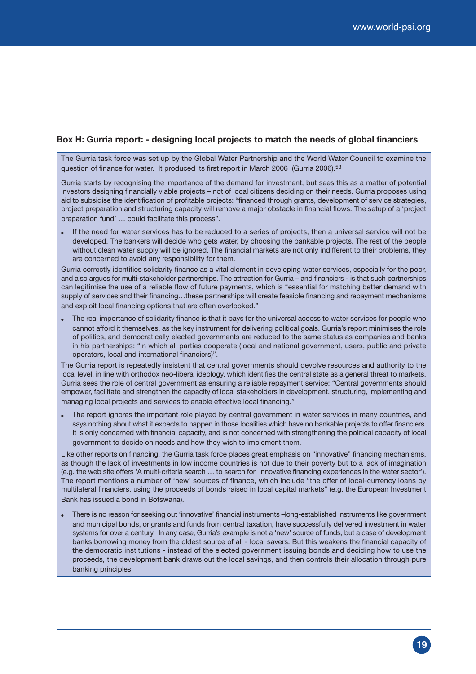#### **Box H: Gurria report: - designing local projects to match the needs of global financiers**

The Gurria task force was set up by the Global Water Partnership and the World Water Council to examine the question of finance for water. It produced its first report in March 2006 (Gurria 2006).53

Gurria starts by recognising the importance of the demand for investment, but sees this as a matter of potential investors designing financially viable projects – not of local citizens deciding on their needs. Gurria proposes using aid to subsidise the identification of profitable projects: "financed through grants, development of service strategies, project preparation and structuring capacity will remove a major obstacle in financial flows. The setup of a 'project preparation fund' … could facilitate this process".

If the need for water services has to be reduced to a series of projects, then a universal service will not be developed. The bankers will decide who gets water, by choosing the bankable projects. The rest of the people without clean water supply will be ignored. The financial markets are not only indifferent to their problems, they are concerned to avoid any responsibility for them.

Gurria correctly identifies solidarity finance as a vital element in developing water services, especially for the poor, and also argues for multi-stakeholder partnerships. The attraction for Gurria – and financiers - is that such partnerships can legitimise the use of a reliable flow of future payments, which is "essential for matching better demand with supply of services and their financing...these partnerships will create feasible financing and repayment mechanisms and exploit local financing options that are often overlooked."

• The real importance of solidarity finance is that it pays for the universal access to water services for people who cannot afford it themselves, as the key instrument for delivering political goals. Gurria's report minimises the role of politics, and democratically elected governments are reduced to the same status as companies and banks in his partnerships: "in which all parties cooperate (local and national government, users, public and private operators, local and international financiers)".

The Gurria report is repeatedly insistent that central governments should devolve resources and authority to the local level, in line with orthodox neo-liberal ideology, which identifies the central state as a general threat to markets. Gurria sees the role of central government as ensuring a reliable repayment service: "Central governments should empower, facilitate and strengthen the capacity of local stakeholders in development, structuring, implementing and managing local projects and services to enable effective local financing."

The report ignores the important role played by central government in water services in many countries, and says nothing about what it expects to happen in those localities which have no bankable projects to offer financiers. It is only concerned with financial capacity, and is not concerned with strengthening the political capacity of local government to decide on needs and how they wish to implement them.

Like other reports on financing, the Gurria task force places great emphasis on "innovative" financing mechanisms, as though the lack of investments in low income countries is not due to their poverty but to a lack of imagination (e.g. the web site offers 'A multi-criteria search … to search for innovative financing experiences in the water sector'). The report mentions a number of 'new' sources of finance, which include "the offer of local-currency loans by multilateral financiers, using the proceeds of bonds raised in local capital markets" (e.g. the European Investment Bank has issued a bond in Botswana).

• There is no reason for seeking out 'innovative' financial instruments –long-established instruments like government and municipal bonds, or grants and funds from central taxation, have successfully delivered investment in water systems for over a century. In any case, Gurria's example is not a 'new' source of funds, but a case of development banks borrowing money from the oldest source of all - local savers. But this weakens the financial capacity of the democratic institutions - instead of the elected government issuing bonds and deciding how to use the proceeds, the development bank draws out the local savings, and then controls their allocation through pure banking principles.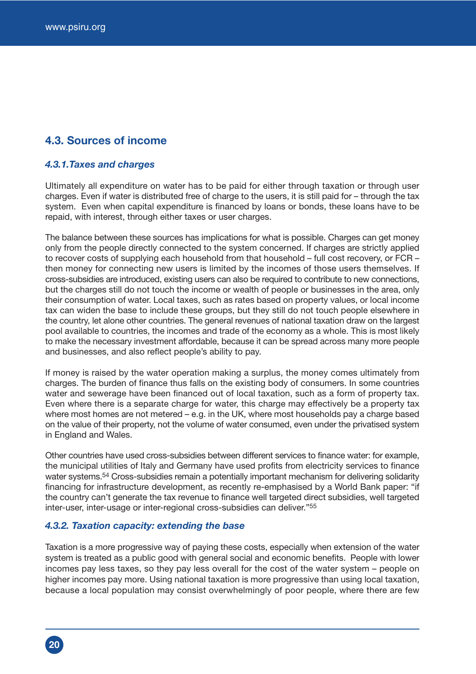## **4.3. Sources of income**

#### *4.3.1.Taxes and charges*

Ultimately all expenditure on water has to be paid for either through taxation or through user charges. Even if water is distributed free of charge to the users, it is still paid for – through the tax system. Even when capital expenditure is financed by loans or bonds, these loans have to be repaid, with interest, through either taxes or user charges.

The balance between these sources has implications for what is possible. Charges can get money only from the people directly connected to the system concerned. If charges are strictly applied to recover costs of supplying each household from that household – full cost recovery, or FCR – then money for connecting new users is limited by the incomes of those users themselves. If cross-subsidies are introduced, existing users can also be required to contribute to new connections, but the charges still do not touch the income or wealth of people or businesses in the area, only their consumption of water. Local taxes, such as rates based on property values, or local income tax can widen the base to include these groups, but they still do not touch people elsewhere in the country, let alone other countries. The general revenues of national taxation draw on the largest pool available to countries, the incomes and trade of the economy as a whole. This is most likely to make the necessary investment affordable, because it can be spread across many more people and businesses, and also reflect people's ability to pay.

If money is raised by the water operation making a surplus, the money comes ultimately from charges. The burden of finance thus falls on the existing body of consumers. In some countries water and sewerage have been financed out of local taxation, such as a form of property tax. Even where there is a separate charge for water, this charge may effectively be a property tax where most homes are not metered – e.g. in the UK, where most households pay a charge based on the value of their property, not the volume of water consumed, even under the privatised system in England and Wales.

Other countries have used cross-subsidies between different services to finance water: for example, the municipal utilities of Italy and Germany have used profits from electricity services to finance water systems.<sup>54</sup> Cross-subsidies remain a potentially important mechanism for delivering solidarity financing for infrastructure development, as recently re-emphasised by a World Bank paper: "if the country can't generate the tax revenue to finance well targeted direct subsidies, well targeted inter-user, inter-usage or inter-regional cross-subsidies can deliver."55

#### *4.3.2. Taxation capacity: extending the base*

Taxation is a more progressive way of paying these costs, especially when extension of the water system is treated as a public good with general social and economic benefits. People with lower incomes pay less taxes, so they pay less overall for the cost of the water system – people on higher incomes pay more. Using national taxation is more progressive than using local taxation, because a local population may consist overwhelmingly of poor people, where there are few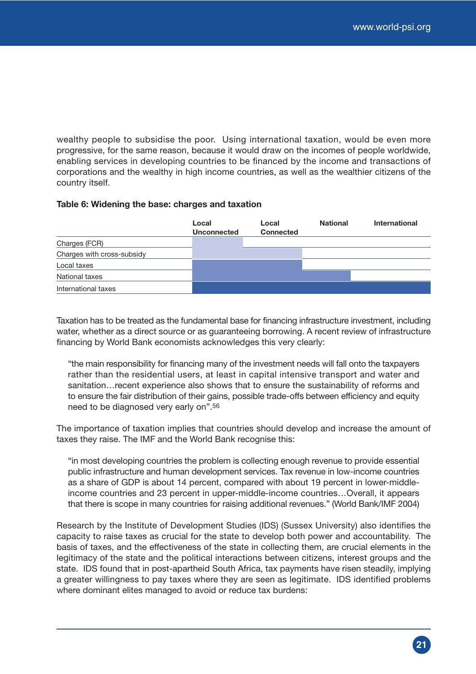wealthy people to subsidise the poor. Using international taxation, would be even more progressive, for the same reason, because it would draw on the incomes of people worldwide, enabling services in developing countries to be financed by the income and transactions of corporations and the wealthy in high income countries, as well as the wealthier citizens of the country itself.

#### **Table 6: Widening the base: charges and taxation**

|                            | Local<br><b>Unconnected</b> | Local<br><b>Connected</b> | <b>National</b> | International |
|----------------------------|-----------------------------|---------------------------|-----------------|---------------|
| Charges (FCR)              |                             |                           |                 |               |
| Charges with cross-subsidy |                             |                           |                 |               |
| Local taxes                |                             |                           |                 |               |
| National taxes             |                             |                           |                 |               |
| International taxes        |                             |                           |                 |               |

Taxation has to be treated as the fundamental base for financing infrastructure investment, including water, whether as a direct source or as guaranteeing borrowing. A recent review of infrastructure financing by World Bank economists acknowledges this very clearly:

"the main responsibility for financing many of the investment needs will fall onto the taxpayers rather than the residential users, at least in capital intensive transport and water and sanitation…recent experience also shows that to ensure the sustainability of reforms and to ensure the fair distribution of their gains, possible trade-offs between efficiency and equity need to be diagnosed very early on".56

The importance of taxation implies that countries should develop and increase the amount of taxes they raise. The IMF and the World Bank recognise this:

"in most developing countries the problem is collecting enough revenue to provide essential public infrastructure and human development services. Tax revenue in low-income countries as a share of GDP is about 14 percent, compared with about 19 percent in lower-middleincome countries and 23 percent in upper-middle-income countries…Overall, it appears that there is scope in many countries for raising additional revenues." (World Bank/IMF 2004)

Research by the Institute of Development Studies (IDS) (Sussex University) also identifies the capacity to raise taxes as crucial for the state to develop both power and accountability. The basis of taxes, and the effectiveness of the state in collecting them, are crucial elements in the legitimacy of the state and the political interactions between citizens, interest groups and the state. IDS found that in post-apartheid South Africa, tax payments have risen steadily, implying a greater willingness to pay taxes where they are seen as legitimate. IDS identified problems where dominant elites managed to avoid or reduce tax burdens: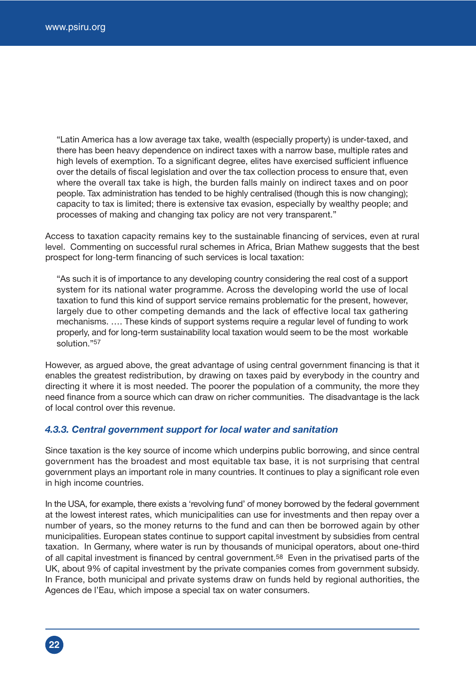**22**

"Latin America has a low average tax take, wealth (especially property) is under-taxed, and there has been heavy dependence on indirect taxes with a narrow base, multiple rates and high levels of exemption. To a significant degree, elites have exercised sufficient influence over the details of fiscal legislation and over the tax collection process to ensure that, even where the overall tax take is high, the burden falls mainly on indirect taxes and on poor people. Tax administration has tended to be highly centralised (though this is now changing); capacity to tax is limited; there is extensive tax evasion, especially by wealthy people; and processes of making and changing tax policy are not very transparent."

Access to taxation capacity remains key to the sustainable financing of services, even at rural level. Commenting on successful rural schemes in Africa, Brian Mathew suggests that the best prospect for long-term financing of such services is local taxation:

"As such it is of importance to any developing country considering the real cost of a support system for its national water programme. Across the developing world the use of local taxation to fund this kind of support service remains problematic for the present, however, largely due to other competing demands and the lack of effective local tax gathering mechanisms. …. These kinds of support systems require a regular level of funding to work properly, and for long-term sustainability local taxation would seem to be the most workable solution."57

However, as argued above, the great advantage of using central government financing is that it enables the greatest redistribution, by drawing on taxes paid by everybody in the country and directing it where it is most needed. The poorer the population of a community, the more they need finance from a source which can draw on richer communities. The disadvantage is the lack of local control over this revenue.

#### *4.3.3. Central government support for local water and sanitation*

Since taxation is the key source of income which underpins public borrowing, and since central government has the broadest and most equitable tax base, it is not surprising that central government plays an important role in many countries. It continues to play a significant role even in high income countries.

In the USA, for example, there exists a 'revolving fund' of money borrowed by the federal government at the lowest interest rates, which municipalities can use for investments and then repay over a number of years, so the money returns to the fund and can then be borrowed again by other municipalities. European states continue to support capital investment by subsidies from central taxation. In Germany, where water is run by thousands of municipal operators, about one-third of all capital investment is financed by central government.<sup>58</sup> Even in the privatised parts of the UK, about 9% of capital investment by the private companies comes from government subsidy. In France, both municipal and private systems draw on funds held by regional authorities, the Agences de l'Eau, which impose a special tax on water consumers.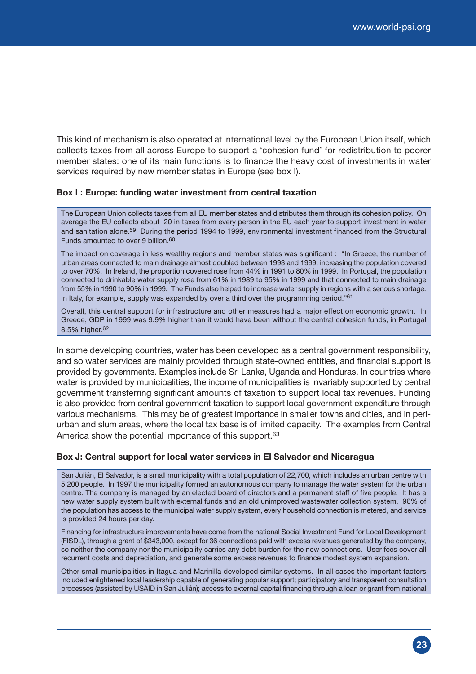This kind of mechanism is also operated at international level by the European Union itself, which collects taxes from all across Europe to support a 'cohesion fund' for redistribution to poorer member states: one of its main functions is to finance the heavy cost of investments in water services required by new member states in Europe (see box I).

#### **Box I : Europe: funding water investment from central taxation**

The European Union collects taxes from all EU member states and distributes them through its cohesion policy. On average the EU collects about 20 in taxes from every person in the EU each year to support investment in water and sanitation alone.59 During the period 1994 to 1999, environmental investment financed from the Structural Funds amounted to over 9 billion.60

The impact on coverage in less wealthy regions and member states was significant : "In Greece, the number of urban areas connected to main drainage almost doubled between 1993 and 1999, increasing the population covered to over 70%. In Ireland, the proportion covered rose from 44% in 1991 to 80% in 1999. In Portugal, the population connected to drinkable water supply rose from 61% in 1989 to 95% in 1999 and that connected to main drainage from 55% in 1990 to 90% in 1999. The Funds also helped to increase water supply in regions with a serious shortage. In Italy, for example, supply was expanded by over a third over the programming period." $61$ 

Overall, this central support for infrastructure and other measures had a major effect on economic growth. In Greece, GDP in 1999 was 9.9% higher than it would have been without the central cohesion funds, in Portugal 8.5% higher.62

In some developing countries, water has been developed as a central government responsibility, and so water services are mainly provided through state-owned entities, and financial support is provided by governments. Examples include Sri Lanka, Uganda and Honduras. In countries where water is provided by municipalities, the income of municipalities is invariably supported by central government transferring significant amounts of taxation to support local tax revenues. Funding is also provided from central government taxation to support local government expenditure through various mechanisms. This may be of greatest importance in smaller towns and cities, and in periurban and slum areas, where the local tax base is of limited capacity. The examples from Central America show the potential importance of this support.<sup>63</sup>

#### **Box J: Central support for local water services in El Salvador and Nicaragua**

San Julián, El Salvador, is a small municipality with a total population of 22,700, which includes an urban centre with 5,200 people. In 1997 the municipality formed an autonomous company to manage the water system for the urban centre. The company is managed by an elected board of directors and a permanent staff of five people. It has a new water supply system built with external funds and an old unimproved wastewater collection system. 96% of the population has access to the municipal water supply system, every household connection is metered, and service is provided 24 hours per day.

Financing for infrastructure improvements have come from the national Social Investment Fund for Local Development (FISDL), through a grant of \$343,000, except for 36 connections paid with excess revenues generated by the company, so neither the company nor the municipality carries any debt burden for the new connections. User fees cover all recurrent costs and depreciation, and generate some excess revenues to finance modest system expansion.

Other small municipalities in Itagua and Marinilla developed similar systems. In all cases the important factors included enlightened local leadership capable of generating popular support; participatory and transparent consultation processes (assisted by USAID in San Julián); access to external capital financing through a loan or grant from national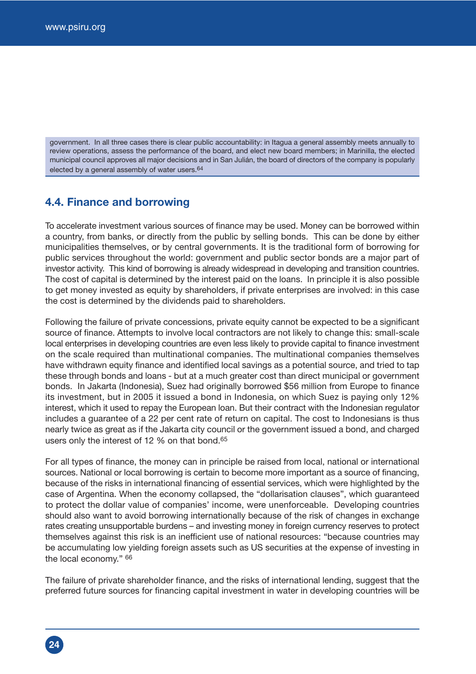**24**

government. In all three cases there is clear public accountability: in Itagua a general assembly meets annually to review operations, assess the performance of the board, and elect new board members; in Marinilla, the elected municipal council approves all major decisions and in San Julián, the board of directors of the company is popularly elected by a general assembly of water users.64

### **4.4. Finance and borrowing**

To accelerate investment various sources of finance may be used. Money can be borrowed within a country, from banks, or directly from the public by selling bonds. This can be done by either municipalities themselves, or by central governments. It is the traditional form of borrowing for public services throughout the world: government and public sector bonds are a major part of investor activity. This kind of borrowing is already widespread in developing and transition countries. The cost of capital is determined by the interest paid on the loans. In principle it is also possible to get money invested as equity by shareholders, if private enterprises are involved: in this case the cost is determined by the dividends paid to shareholders.

Following the failure of private concessions, private equity cannot be expected to be a significant source of finance. Attempts to involve local contractors are not likely to change this: small-scale local enterprises in developing countries are even less likely to provide capital to finance investment on the scale required than multinational companies. The multinational companies themselves have withdrawn equity finance and identified local savings as a potential source, and tried to tap these through bonds and loans - but at a much greater cost than direct municipal or government bonds. In Jakarta (Indonesia), Suez had originally borrowed \$56 million from Europe to finance its investment, but in 2005 it issued a bond in Indonesia, on which Suez is paying only 12% interest, which it used to repay the European loan. But their contract with the Indonesian regulator includes a guarantee of a 22 per cent rate of return on capital. The cost to Indonesians is thus nearly twice as great as if the Jakarta city council or the government issued a bond, and charged users only the interest of 12 % on that bond.65

For all types of finance, the money can in principle be raised from local, national or international sources. National or local borrowing is certain to become more important as a source of financing, because of the risks in international financing of essential services, which were highlighted by the case of Argentina. When the economy collapsed, the "dollarisation clauses", which guaranteed to protect the dollar value of companies' income, were unenforceable. Developing countries should also want to avoid borrowing internationally because of the risk of changes in exchange rates creating unsupportable burdens – and investing money in foreign currency reserves to protect themselves against this risk is an inefficient use of national resources: "because countries may be accumulating low yielding foreign assets such as US securities at the expense of investing in the local economy." 66

The failure of private shareholder finance, and the risks of international lending, suggest that the preferred future sources for financing capital investment in water in developing countries will be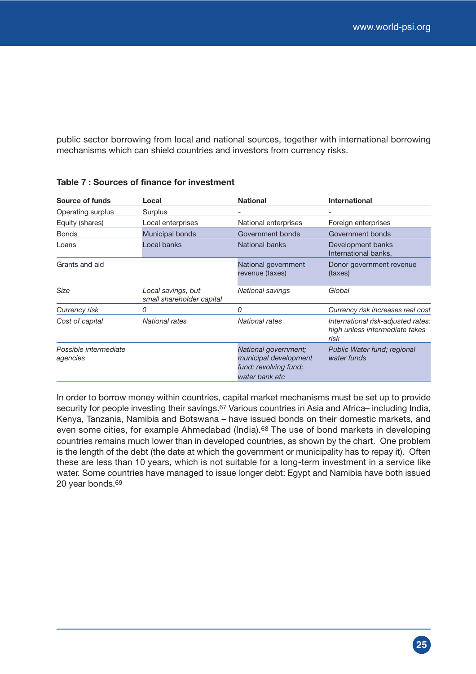public sector borrowing from local and national sources, together with international borrowing mechanisms which can shield countries and investors from currency risks.

| <b>Source of funds</b>            | Local                                           | <b>National</b>                                                                          | <b>International</b>                                                         |
|-----------------------------------|-------------------------------------------------|------------------------------------------------------------------------------------------|------------------------------------------------------------------------------|
| Operating surplus                 | Surplus                                         |                                                                                          | -                                                                            |
| Equity (shares)                   | Local enterprises                               | National enterprises                                                                     | Foreign enterprises                                                          |
| <b>Bonds</b>                      | Municipal bonds                                 | Government bonds                                                                         | Government bonds                                                             |
| Loans                             | Local banks                                     | National banks                                                                           | Development banks<br>International banks,                                    |
| Grants and aid                    |                                                 | National government<br>revenue (taxes)                                                   | Donor government revenue<br>(taxes)                                          |
| Size                              | Local savings, but<br>small shareholder capital | <b>National savings</b>                                                                  | Global                                                                       |
| Currency risk                     | 0                                               | 0                                                                                        | Currency risk increases real cost                                            |
| Cost of capital                   | National rates                                  | <b>National rates</b>                                                                    | International risk-adjusted rates:<br>high unless intermediate takes<br>risk |
| Possible intermediate<br>agencies |                                                 | National government;<br>municipal development<br>fund; revolving fund;<br>water bank etc | Public Water fund; regional<br>water funds                                   |

#### **Table 7 : Sources of finance for investment**

In order to borrow money within countries, capital market mechanisms must be set up to provide security for people investing their savings.<sup>67</sup> Various countries in Asia and Africa– including India, Kenya, Tanzania, Namibia and Botswana – have issued bonds on their domestic markets, and even some cities, for example Ahmedabad (India).<sup>68</sup> The use of bond markets in developing countries remains much lower than in developed countries, as shown by the chart. One problem is the length of the debt (the date at which the government or municipality has to repay it). Often these are less than 10 years, which is not suitable for a long-term investment in a service like water. Some countries have managed to issue longer debt: Egypt and Namibia have both issued 20 year bonds.69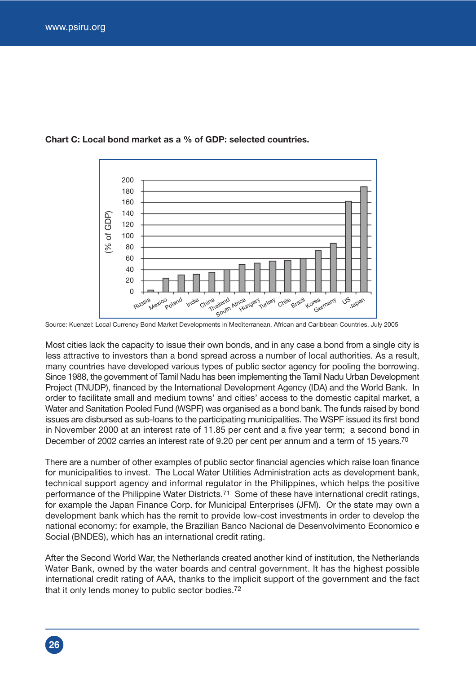

#### **Chart C: Local bond market as a % of GDP: selected countries.**

Source: Kuenzel: Local Currency Bond Market Developments in Mediterranean, African and Caribbean Countries, July 2005

Most cities lack the capacity to issue their own bonds, and in any case a bond from a single city is less attractive to investors than a bond spread across a number of local authorities. As a result, many countries have developed various types of public sector agency for pooling the borrowing. Since 1988, the government of Tamil Nadu has been implementing the Tamil Nadu Urban Development Project (TNUDP), financed by the International Development Agency (IDA) and the World Bank. In order to facilitate small and medium towns' and cities' access to the domestic capital market, a Water and Sanitation Pooled Fund (WSPF) was organised as a bond bank. The funds raised by bond issues are disbursed as sub-loans to the participating municipalities. The WSPF issued its first bond in November 2000 at an interest rate of 11.85 per cent and a five year term; a second bond in December of 2002 carries an interest rate of 9.20 per cent per annum and a term of 15 years.<sup>70</sup>

There are a number of other examples of public sector financial agencies which raise loan finance for municipalities to invest. The Local Water Utilities Administration acts as development bank, technical support agency and informal regulator in the Philippines, which helps the positive performance of the Philippine Water Districts.<sup>71</sup> Some of these have international credit ratings. for example the Japan Finance Corp. for Municipal Enterprises (JFM). Or the state may own a development bank which has the remit to provide low-cost investments in order to develop the national economy: for example, the Brazilian Banco Nacional de Desenvolvimento Economico e Social (BNDES), which has an international credit rating.

After the Second World War, the Netherlands created another kind of institution, the Netherlands Water Bank, owned by the water boards and central government. It has the highest possible international credit rating of AAA, thanks to the implicit support of the government and the fact that it only lends money to public sector bodies.72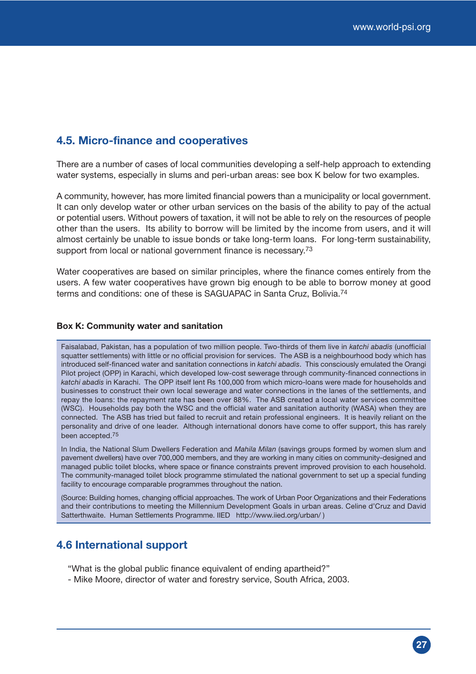### **4.5. Micro-finance and cooperatives**

There are a number of cases of local communities developing a self-help approach to extending water systems, especially in slums and peri-urban areas: see box K below for two examples.

A community, however, has more limited financial powers than a municipality or local government. It can only develop water or other urban services on the basis of the ability to pay of the actual or potential users. Without powers of taxation, it will not be able to rely on the resources of people other than the users. Its ability to borrow will be limited by the income from users, and it will almost certainly be unable to issue bonds or take long-term loans. For long-term sustainability, support from local or national government finance is necessary.<sup>73</sup>

Water cooperatives are based on similar principles, where the finance comes entirely from the users. A few water cooperatives have grown big enough to be able to borrow money at good terms and conditions: one of these is SAGUAPAC in Santa Cruz, Bolivia.74

#### **Box K: Community water and sanitation**

Faisalabad, Pakistan, has a population of two million people. Two-thirds of them live in *katchi abadis* (unofficial squatter settlements) with little or no official provision for services. The ASB is a neighbourhood body which has introduced self-financed water and sanitation connections in *katchi abadis*. This consciously emulated the Orangi Pilot project (OPP) in Karachi, which developed low-cost sewerage through community-financed connections in *katchi abadis* in Karachi. The OPP itself lent Rs 100,000 from which micro-loans were made for households and businesses to construct their own local sewerage and water connections in the lanes of the settlements, and repay the loans: the repayment rate has been over 88%. The ASB created a local water services committee (WSC). Households pay both the WSC and the official water and sanitation authority (WASA) when they are connected. The ASB has tried but failed to recruit and retain professional engineers. It is heavily reliant on the personality and drive of one leader. Although international donors have come to offer support, this has rarely been accepted.75

In India, the National Slum Dwellers Federation and *Mahila Milan* (savings groups formed by women slum and pavement dwellers) have over 700,000 members, and they are working in many cities on community-designed and managed public toilet blocks, where space or finance constraints prevent improved provision to each household. The community-managed toilet block programme stimulated the national government to set up a special funding facility to encourage comparable programmes throughout the nation.

(Source: Building homes, changing official approaches. The work of Urban Poor Organizations and their Federations and their contributions to meeting the Millennium Development Goals in urban areas. Celine d'Cruz and David Satterthwaite. Human Settlements Programme. IIED http://www.iied.org/urban/)

### **4.6 International support**

"What is the global public finance equivalent of ending apartheid?"

- Mike Moore, director of water and forestry service, South Africa, 2003.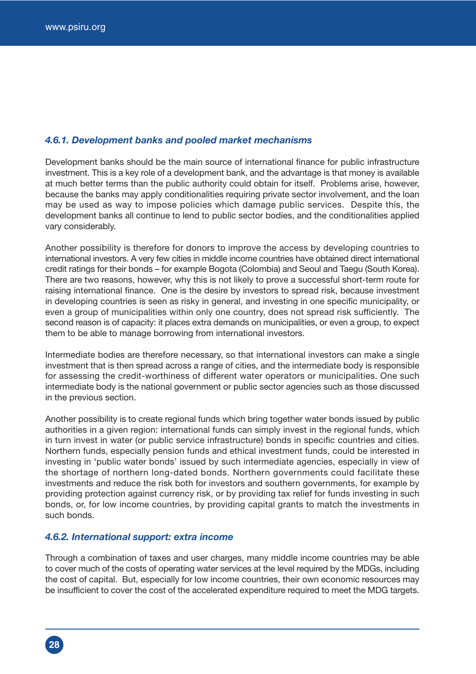#### *4.6.1. Development banks and pooled market mechanisms*

Development banks should be the main source of international finance for public infrastructure investment. This is a key role of a development bank, and the advantage is that money is available at much better terms than the public authority could obtain for itself. Problems arise, however, because the banks may apply conditionalities requiring private sector involvement, and the loan may be used as way to impose policies which damage public services. Despite this, the development banks all continue to lend to public sector bodies, and the conditionalities applied vary considerably.

Another possibility is therefore for donors to improve the access by developing countries to international investors. A very few cities in middle income countries have obtained direct international credit ratings for their bonds – for example Bogota (Colombia) and Seoul and Taegu (South Korea). There are two reasons, however, why this is not likely to prove a successful short-term route for raising international finance. One is the desire by investors to spread risk, because investment in developing countries is seen as risky in general, and investing in one specific municipality, or even a group of municipalities within only one country, does not spread risk sufficiently. The second reason is of capacity: it places extra demands on municipalities, or even a group, to expect them to be able to manage borrowing from international investors.

Intermediate bodies are therefore necessary, so that international investors can make a single investment that is then spread across a range of cities, and the intermediate body is responsible for assessing the credit-worthiness of different water operators or municipalities. One such intermediate body is the national government or public sector agencies such as those discussed in the previous section.

Another possibility is to create regional funds which bring together water bonds issued by public authorities in a given region: international funds can simply invest in the regional funds, which in turn invest in water (or public service infrastructure) bonds in specific countries and cities. Northern funds, especially pension funds and ethical investment funds, could be interested in investing in 'public water bonds' issued by such intermediate agencies, especially in view of the shortage of northern long-dated bonds. Northern governments could facilitate these investments and reduce the risk both for investors and southern governments, for example by providing protection against currency risk, or by providing tax relief for funds investing in such bonds, or, for low income countries, by providing capital grants to match the investments in such bonds.

#### *4.6.2. International support: extra income*

Through a combination of taxes and user charges, many middle income countries may be able to cover much of the costs of operating water services at the level required by the MDGs, including the cost of capital. But, especially for low income countries, their own economic resources may be insufficient to cover the cost of the accelerated expenditure required to meet the MDG targets.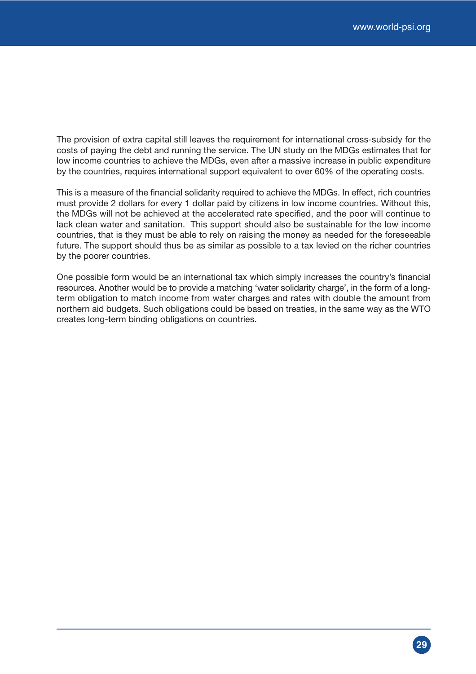The provision of extra capital still leaves the requirement for international cross-subsidy for the costs of paying the debt and running the service. The UN study on the MDGs estimates that for low income countries to achieve the MDGs, even after a massive increase in public expenditure by the countries, requires international support equivalent to over 60% of the operating costs.

This is a measure of the financial solidarity required to achieve the MDGs. In effect, rich countries must provide 2 dollars for every 1 dollar paid by citizens in low income countries. Without this, the MDGs will not be achieved at the accelerated rate specified, and the poor will continue to lack clean water and sanitation. This support should also be sustainable for the low income countries, that is they must be able to rely on raising the money as needed for the foreseeable future. The support should thus be as similar as possible to a tax levied on the richer countries by the poorer countries.

One possible form would be an international tax which simply increases the country's financial resources. Another would be to provide a matching 'water solidarity charge', in the form of a longterm obligation to match income from water charges and rates with double the amount from northern aid budgets. Such obligations could be based on treaties, in the same way as the WTO creates long-term binding obligations on countries.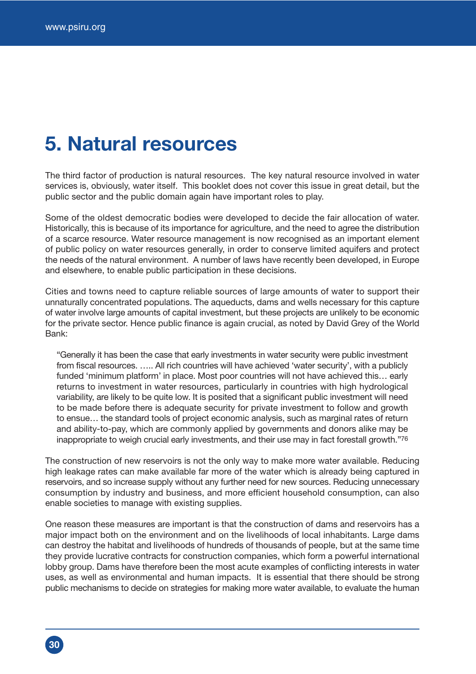## **5. Natural resources**

The third factor of production is natural resources. The key natural resource involved in water services is, obviously, water itself. This booklet does not cover this issue in great detail, but the public sector and the public domain again have important roles to play.

Some of the oldest democratic bodies were developed to decide the fair allocation of water. Historically, this is because of its importance for agriculture, and the need to agree the distribution of a scarce resource. Water resource management is now recognised as an important element of public policy on water resources generally, in order to conserve limited aquifers and protect the needs of the natural environment. A number of laws have recently been developed, in Europe and elsewhere, to enable public participation in these decisions.

Cities and towns need to capture reliable sources of large amounts of water to support their unnaturally concentrated populations. The aqueducts, dams and wells necessary for this capture of water involve large amounts of capital investment, but these projects are unlikely to be economic for the private sector. Hence public finance is again crucial, as noted by David Grey of the World Bank:

"Generally it has been the case that early investments in water security were public investment from fiscal resources. ….. All rich countries will have achieved 'water security', with a publicly funded 'minimum platform' in place. Most poor countries will not have achieved this… early returns to investment in water resources, particularly in countries with high hydrological variability, are likely to be quite low. It is posited that a significant public investment will need to be made before there is adequate security for private investment to follow and growth to ensue… the standard tools of project economic analysis, such as marginal rates of return and ability-to-pay, which are commonly applied by governments and donors alike may be inappropriate to weigh crucial early investments, and their use may in fact forestall growth."76

The construction of new reservoirs is not the only way to make more water available. Reducing high leakage rates can make available far more of the water which is already being captured in reservoirs, and so increase supply without any further need for new sources. Reducing unnecessary consumption by industry and business, and more efficient household consumption, can also enable societies to manage with existing supplies.

One reason these measures are important is that the construction of dams and reservoirs has a major impact both on the environment and on the livelihoods of local inhabitants. Large dams can destroy the habitat and livelihoods of hundreds of thousands of people, but at the same time they provide lucrative contracts for construction companies, which form a powerful international lobby group. Dams have therefore been the most acute examples of conflicting interests in water uses, as well as environmental and human impacts. It is essential that there should be strong public mechanisms to decide on strategies for making more water available, to evaluate the human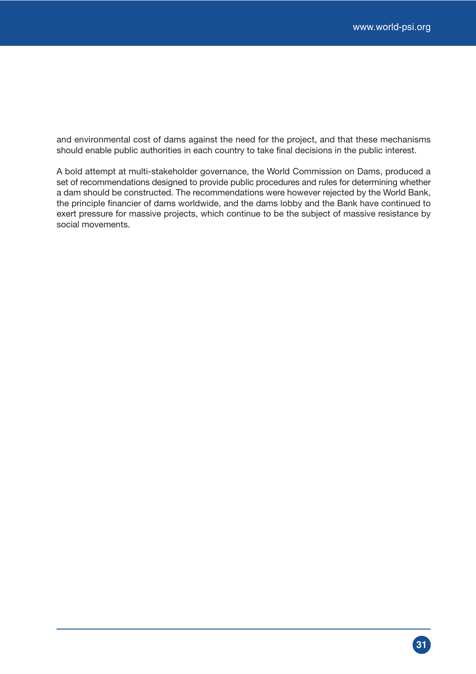and environmental cost of dams against the need for the project, and that these mechanisms should enable public authorities in each country to take final decisions in the public interest.

A bold attempt at multi-stakeholder governance, the World Commission on Dams, produced a set of recommendations designed to provide public procedures and rules for determining whether a dam should be constructed. The recommendations were however rejected by the World Bank, the principle financier of dams worldwide, and the dams lobby and the Bank have continued to exert pressure for massive projects, which continue to be the subject of massive resistance by social movements.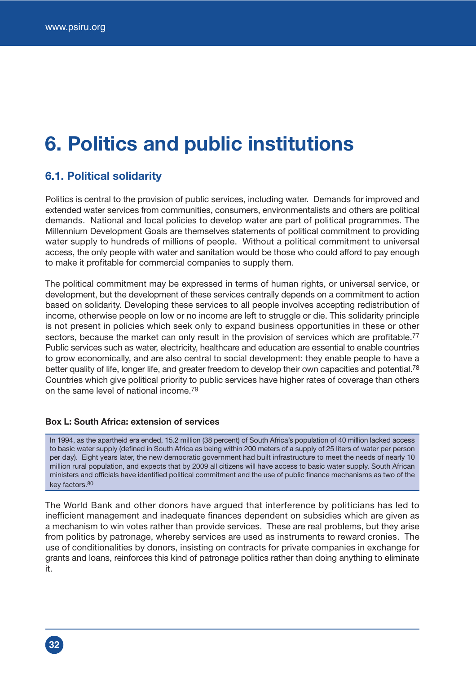## **6. Politics and public institutions**

## **6.1. Political solidarity**

Politics is central to the provision of public services, including water. Demands for improved and extended water services from communities, consumers, environmentalists and others are political demands. National and local policies to develop water are part of political programmes. The Millennium Development Goals are themselves statements of political commitment to providing water supply to hundreds of millions of people. Without a political commitment to universal access, the only people with water and sanitation would be those who could afford to pay enough to make it profitable for commercial companies to supply them.

The political commitment may be expressed in terms of human rights, or universal service, or development, but the development of these services centrally depends on a commitment to action based on solidarity. Developing these services to all people involves accepting redistribution of income, otherwise people on low or no income are left to struggle or die. This solidarity principle is not present in policies which seek only to expand business opportunities in these or other sectors, because the market can only result in the provision of services which are profitable.<sup>77</sup> Public services such as water, electricity, healthcare and education are essential to enable countries to grow economically, and are also central to social development: they enable people to have a better quality of life, longer life, and greater freedom to develop their own capacities and potential.<sup>78</sup> Countries which give political priority to public services have higher rates of coverage than others on the same level of national income.79

#### **Box L: South Africa: extension of services**

In 1994, as the apartheid era ended, 15.2 million (38 percent) of South Africa's population of 40 million lacked access to basic water supply (defined in South Africa as being within 200 meters of a supply of 25 liters of water per person per day). Eight years later, the new democratic government had built infrastructure to meet the needs of nearly 10 million rural population, and expects that by 2009 all citizens will have access to basic water supply. South African ministers and officials have identified political commitment and the use of public finance mechanisms as two of the key factors.80

The World Bank and other donors have argued that interference by politicians has led to inefficient management and inadequate finances dependent on subsidies which are given as a mechanism to win votes rather than provide services. These are real problems, but they arise from politics by patronage, whereby services are used as instruments to reward cronies. The use of conditionalities by donors, insisting on contracts for private companies in exchange for grants and loans, reinforces this kind of patronage politics rather than doing anything to eliminate it.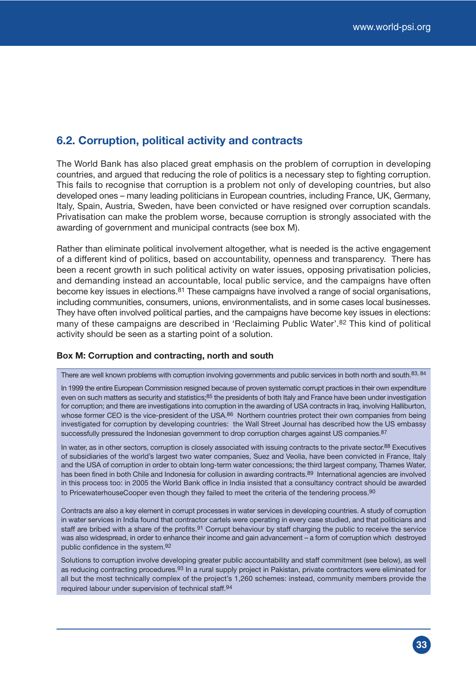## **6.2. Corruption, political activity and contracts**

The World Bank has also placed great emphasis on the problem of corruption in developing countries, and argued that reducing the role of politics is a necessary step to fighting corruption. This fails to recognise that corruption is a problem not only of developing countries, but also developed ones – many leading politicians in European countries, including France, UK, Germany, Italy, Spain, Austria, Sweden, have been convicted or have resigned over corruption scandals. Privatisation can make the problem worse, because corruption is strongly associated with the awarding of government and municipal contracts (see box M).

Rather than eliminate political involvement altogether, what is needed is the active engagement of a different kind of politics, based on accountability, openness and transparency. There has been a recent growth in such political activity on water issues, opposing privatisation policies, and demanding instead an accountable, local public service, and the campaigns have often become key issues in elections.<sup>81</sup> These campaigns have involved a range of social organisations, including communities, consumers, unions, environmentalists, and in some cases local businesses. They have often involved political parties, and the campaigns have become key issues in elections: many of these campaigns are described in 'Reclaiming Public Water'.82 This kind of political activity should be seen as a starting point of a solution.

#### **Box M: Corruption and contracting, north and south**

There are well known problems with corruption involving governments and public services in both north and south.83, 84

In 1999 the entire European Commission resigned because of proven systematic corrupt practices in their own expenditure even on such matters as security and statistics;<sup>85</sup> the presidents of both Italy and France have been under investigation for corruption; and there are investigations into corruption in the awarding of USA contracts in Iraq, involving Halliburton, whose former CEO is the vice-president of the USA.<sup>86</sup> Northern countries protect their own companies from being investigated for corruption by developing countries: the Wall Street Journal has described how the US embassy successfully pressured the Indonesian government to drop corruption charges against US companies.<sup>87</sup>

In water, as in other sectors, corruption is closely associated with issuing contracts to the private sector.<sup>88</sup> Executives of subsidiaries of the world's largest two water companies, Suez and Veolia, have been convicted in France, Italy and the USA of corruption in order to obtain long-term water concessions; the third largest company, Thames Water, has been fined in both Chile and Indonesia for collusion in awarding contracts.<sup>89</sup> International agencies are involved in this process too: in 2005 the World Bank office in India insisted that a consultancy contract should be awarded to PricewaterhouseCooper even though they failed to meet the criteria of the tendering process.<sup>90</sup>

Contracts are also a key element in corrupt processes in water services in developing countries. A study of corruption in water services in India found that contractor cartels were operating in every case studied, and that politicians and staff are bribed with a share of the profits.<sup>91</sup> Corrupt behaviour by staff charging the public to receive the service was also widespread, in order to enhance their income and gain advancement – a form of corruption which destroyed public confidence in the system.92

Solutions to corruption involve developing greater public accountability and staff commitment (see below), as well as reducing contracting procedures.<sup>93</sup> In a rural supply project in Pakistan, private contractors were eliminated for all but the most technically complex of the project's 1,260 schemes: instead, community members provide the required labour under supervision of technical staff.94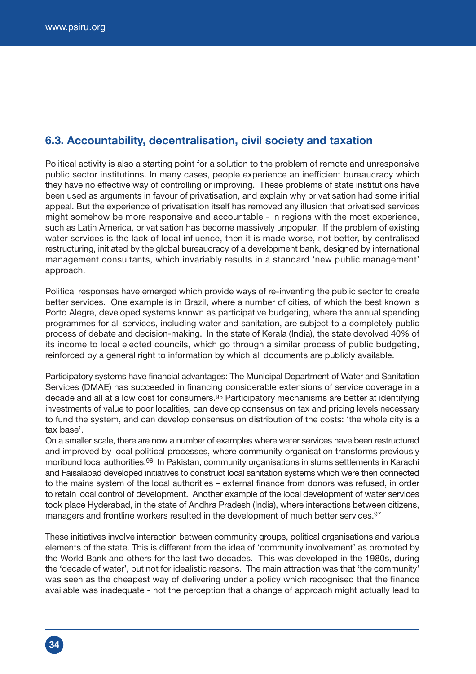## **6.3. Accountability, decentralisation, civil society and taxation**

Political activity is also a starting point for a solution to the problem of remote and unresponsive public sector institutions. In many cases, people experience an inefficient bureaucracy which they have no effective way of controlling or improving. These problems of state institutions have been used as arguments in favour of privatisation, and explain why privatisation had some initial appeal. But the experience of privatisation itself has removed any illusion that privatised services might somehow be more responsive and accountable - in regions with the most experience, such as Latin America, privatisation has become massively unpopular. If the problem of existing water services is the lack of local influence, then it is made worse, not better, by centralised restructuring, initiated by the global bureaucracy of a development bank, designed by international management consultants, which invariably results in a standard 'new public management' approach.

Political responses have emerged which provide ways of re-inventing the public sector to create better services. One example is in Brazil, where a number of cities, of which the best known is Porto Alegre, developed systems known as participative budgeting, where the annual spending programmes for all services, including water and sanitation, are subject to a completely public process of debate and decision-making. In the state of Kerala (India), the state devolved 40% of its income to local elected councils, which go through a similar process of public budgeting, reinforced by a general right to information by which all documents are publicly available.

Participatory systems have financial advantages: The Municipal Department of Water and Sanitation Services (DMAE) has succeeded in financing considerable extensions of service coverage in a decade and all at a low cost for consumers.95 Participatory mechanisms are better at identifying investments of value to poor localities, can develop consensus on tax and pricing levels necessary to fund the system, and can develop consensus on distribution of the costs: 'the whole city is a tax base'.

On a smaller scale, there are now a number of examples where water services have been restructured and improved by local political processes, where community organisation transforms previously moribund local authorities.<sup>96</sup> In Pakistan, community organisations in slums settlements in Karachi and Faisalabad developed initiatives to construct local sanitation systems which were then connected to the mains system of the local authorities – external finance from donors was refused, in order to retain local control of development. Another example of the local development of water services took place Hyderabad, in the state of Andhra Pradesh (India), where interactions between citizens, managers and frontline workers resulted in the development of much better services.<sup>97</sup>

These initiatives involve interaction between community groups, political organisations and various elements of the state. This is different from the idea of 'community involvement' as promoted by the World Bank and others for the last two decades. This was developed in the 1980s, during the 'decade of water', but not for idealistic reasons. The main attraction was that 'the community' was seen as the cheapest way of delivering under a policy which recognised that the finance available was inadequate - not the perception that a change of approach might actually lead to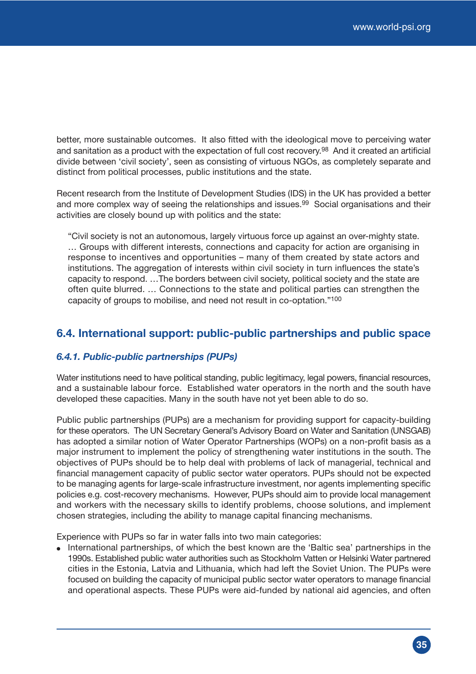better, more sustainable outcomes. It also fitted with the ideological move to perceiving water and sanitation as a product with the expectation of full cost recovery.<sup>98</sup> And it created an artificial divide between 'civil society', seen as consisting of virtuous NGOs, as completely separate and distinct from political processes, public institutions and the state.

Recent research from the Institute of Development Studies (IDS) in the UK has provided a better and more complex way of seeing the relationships and issues.<sup>99</sup> Social organisations and their activities are closely bound up with politics and the state:

"Civil society is not an autonomous, largely virtuous force up against an over-mighty state. … Groups with different interests, connections and capacity for action are organising in response to incentives and opportunities – many of them created by state actors and institutions. The aggregation of interests within civil society in turn influences the state's capacity to respond. …The borders between civil society, political society and the state are often quite blurred. … Connections to the state and political parties can strengthen the capacity of groups to mobilise, and need not result in co-optation."100

## **6.4. International support: public-public partnerships and public space**

#### *6.4.1. Public-public partnerships (PUPs)*

Water institutions need to have political standing, public legitimacy, legal powers, financial resources, and a sustainable labour force. Established water operators in the north and the south have developed these capacities. Many in the south have not yet been able to do so.

Public public partnerships (PUPs) are a mechanism for providing support for capacity-building for these operators. The UN Secretary General's Advisory Board on Water and Sanitation (UNSGAB) has adopted a similar notion of Water Operator Partnerships (WOPs) on a non-profit basis as a major instrument to implement the policy of strengthening water institutions in the south. The objectives of PUPs should be to help deal with problems of lack of managerial, technical and financial management capacity of public sector water operators. PUPs should not be expected to be managing agents for large-scale infrastructure investment, nor agents implementing specific policies e.g. cost-recovery mechanisms. However, PUPs should aim to provide local management and workers with the necessary skills to identify problems, choose solutions, and implement chosen strategies, including the ability to manage capital financing mechanisms.

Experience with PUPs so far in water falls into two main categories:

• International partnerships, of which the best known are the 'Baltic sea' partnerships in the 1990s. Established public water authorities such as Stockholm Vatten or Helsinki Water partnered cities in the Estonia, Latvia and Lithuania, which had left the Soviet Union. The PUPs were focused on building the capacity of municipal public sector water operators to manage financial and operational aspects. These PUPs were aid-funded by national aid agencies, and often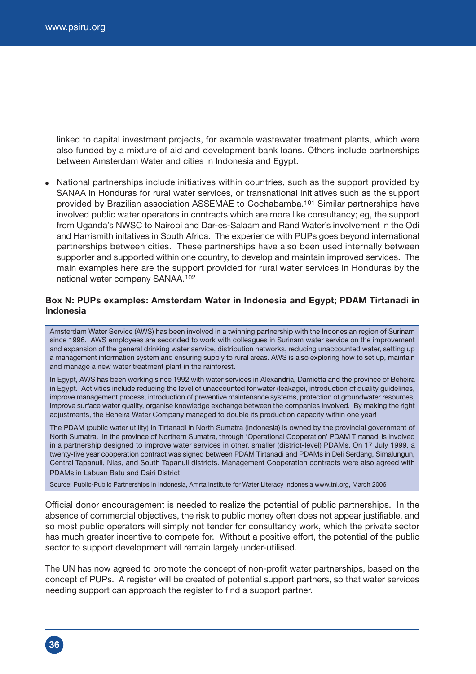linked to capital investment projects, for example wastewater treatment plants, which were also funded by a mixture of aid and development bank loans. Others include partnerships between Amsterdam Water and cities in Indonesia and Egypt.

• National partnerships include initiatives within countries, such as the support provided by SANAA in Honduras for rural water services, or transnational initiatives such as the support provided by Brazilian association ASSEMAE to Cochabamba.101 Similar partnerships have involved public water operators in contracts which are more like consultancy; eg, the support from Uganda's NWSC to Nairobi and Dar-es-Salaam and Rand Water's involvement in the Odi and Harrismith initatives in South Africa. The experience with PUPs goes beyond international partnerships between cities. These partnerships have also been used internally between supporter and supported within one country, to develop and maintain improved services. The main examples here are the support provided for rural water services in Honduras by the national water company SANAA.102

#### **Box N: PUPs examples: Amsterdam Water in Indonesia and Egypt; PDAM Tirtanadi in Indonesia**

Amsterdam Water Service (AWS) has been involved in a twinning partnership with the Indonesian region of Surinam since 1996. AWS employees are seconded to work with colleagues in Surinam water service on the improvement and expansion of the general drinking water service, distribution networks, reducing unaccounted water, setting up a management information system and ensuring supply to rural areas. AWS is also exploring how to set up, maintain and manage a new water treatment plant in the rainforest.

In Egypt, AWS has been working since 1992 with water services in Alexandria, Damietta and the province of Beheira in Egypt. Activities include reducing the level of unaccounted for water (leakage), introduction of quality guidelines, improve management process, introduction of preventive maintenance systems, protection of groundwater resources, improve surface water quality, organise knowledge exchange between the companies involved. By making the right adjustments, the Beheira Water Company managed to double its production capacity within one year!

The PDAM (public water utility) in Tirtanadi in North Sumatra (Indonesia) is owned by the provincial government of North Sumatra. In the province of Northern Sumatra, through 'Operational Cooperation' PDAM Tirtanadi is involved in a partnership designed to improve water services in other, smaller (district-level) PDAMs. On 17 July 1999, a twenty-five year cooperation contract was signed between PDAM Tirtanadi and PDAMs in Deli Serdang, Simalungun, Central Tapanuli, Nias, and South Tapanuli districts. Management Cooperation contracts were also agreed with PDAMs in Labuan Batu and Dairi District.

Source: Public-Public Partnerships in Indonesia, Amrta Institute for Water Literacy Indonesia www.tni.org, March 2006

Official donor encouragement is needed to realize the potential of public partnerships. In the absence of commercial objectives, the risk to public money often does not appear justifiable, and so most public operators will simply not tender for consultancy work, which the private sector has much greater incentive to compete for. Without a positive effort, the potential of the public sector to support development will remain largely under-utilised.

The UN has now agreed to promote the concept of non-profit water partnerships, based on the concept of PUPs. A register will be created of potential support partners, so that water services needing support can approach the register to find a support partner.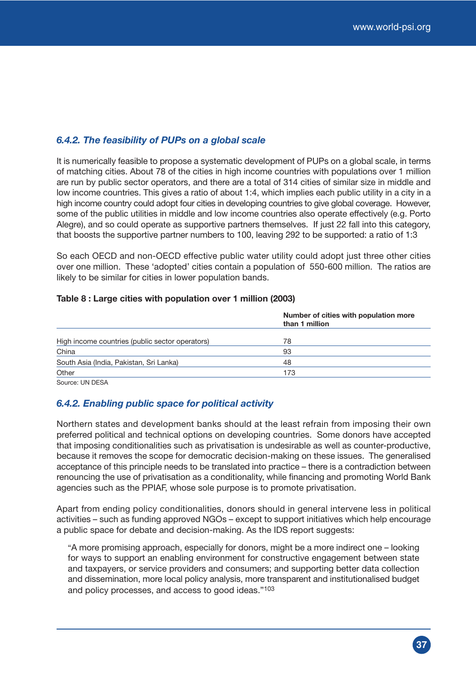#### *6.4.2. The feasibility of PUPs on a global scale*

It is numerically feasible to propose a systematic development of PUPs on a global scale, in terms of matching cities. About 78 of the cities in high income countries with populations over 1 million are run by public sector operators, and there are a total of 314 cities of similar size in middle and low income countries. This gives a ratio of about 1:4, which implies each public utility in a city in a high income country could adopt four cities in developing countries to give global coverage. However, some of the public utilities in middle and low income countries also operate effectively (e.g. Porto Alegre), and so could operate as supportive partners themselves. If just 22 fall into this category, that boosts the supportive partner numbers to 100, leaving 292 to be supported: a ratio of 1:3

So each OECD and non-OECD effective public water utility could adopt just three other cities over one million. These 'adopted' cities contain a population of 550-600 million. The ratios are likely to be similar for cities in lower population bands.

|                                                 | Number of cities with population more<br>than 1 million |
|-------------------------------------------------|---------------------------------------------------------|
| High income countries (public sector operators) | 78                                                      |
| China                                           | 93                                                      |
| South Asia (India, Pakistan, Sri Lanka)         | 48                                                      |
| Other                                           | 173                                                     |
| Source: UN DESA                                 |                                                         |

#### **Table 8 : Large cities with population over 1 million (2003)**

#### *6.4.2. Enabling public space for political activity*

Northern states and development banks should at the least refrain from imposing their own preferred political and technical options on developing countries. Some donors have accepted that imposing conditionalities such as privatisation is undesirable as well as counter-productive, because it removes the scope for democratic decision-making on these issues. The generalised acceptance of this principle needs to be translated into practice – there is a contradiction between renouncing the use of privatisation as a conditionality, while financing and promoting World Bank agencies such as the PPIAF, whose sole purpose is to promote privatisation.

Apart from ending policy conditionalities, donors should in general intervene less in political activities – such as funding approved NGOs – except to support initiatives which help encourage a public space for debate and decision-making. As the IDS report suggests:

"A more promising approach, especially for donors, might be a more indirect one – looking for ways to support an enabling environment for constructive engagement between state and taxpayers, or service providers and consumers; and supporting better data collection and dissemination, more local policy analysis, more transparent and institutionalised budget and policy processes, and access to good ideas."103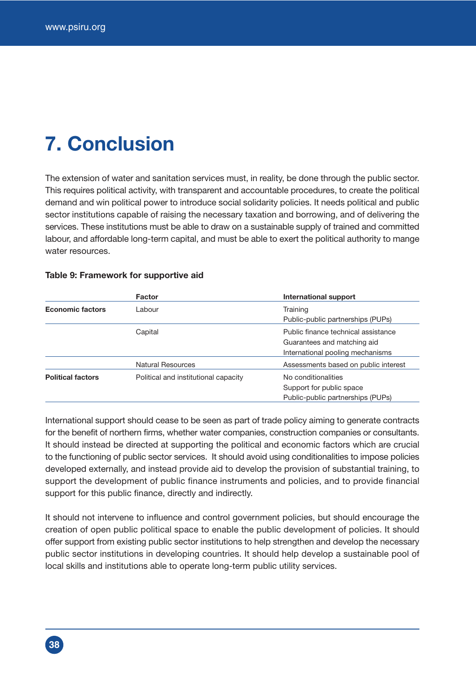## **7. Conclusion**

The extension of water and sanitation services must, in reality, be done through the public sector. This requires political activity, with transparent and accountable procedures, to create the political demand and win political power to introduce social solidarity policies. It needs political and public sector institutions capable of raising the necessary taxation and borrowing, and of delivering the services. These institutions must be able to draw on a sustainable supply of trained and committed labour, and affordable long-term capital, and must be able to exert the political authority to mange water resources.

|                          | <b>Factor</b>                        | <b>International support</b>         |
|--------------------------|--------------------------------------|--------------------------------------|
| <b>Economic factors</b>  | Labour                               | Training                             |
|                          |                                      | Public-public partnerships (PUPs)    |
|                          | Capital                              | Public finance technical assistance  |
|                          |                                      | Guarantees and matching aid          |
|                          |                                      | International pooling mechanisms     |
|                          | <b>Natural Resources</b>             | Assessments based on public interest |
| <b>Political factors</b> | Political and institutional capacity | No conditionalities                  |
|                          |                                      | Support for public space             |
|                          |                                      | Public-public partnerships (PUPs)    |

#### **Table 9: Framework for supportive aid**

International support should cease to be seen as part of trade policy aiming to generate contracts for the benefit of northern firms, whether water companies, construction companies or consultants. It should instead be directed at supporting the political and economic factors which are crucial to the functioning of public sector services. It should avoid using conditionalities to impose policies developed externally, and instead provide aid to develop the provision of substantial training, to support the development of public finance instruments and policies, and to provide financial support for this public finance, directly and indirectly.

It should not intervene to influence and control government policies, but should encourage the creation of open public political space to enable the public development of policies. It should offer support from existing public sector institutions to help strengthen and develop the necessary public sector institutions in developing countries. It should help develop a sustainable pool of local skills and institutions able to operate long-term public utility services.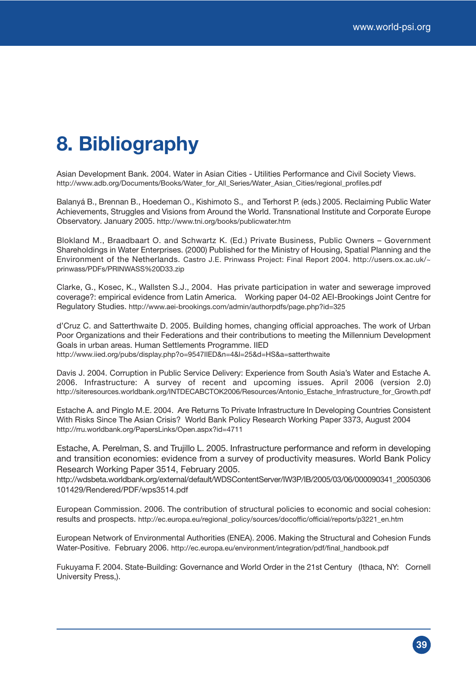## **8. Bibliography**

Asian Development Bank. 2004. Water in Asian Cities - Utilities Performance and Civil Society Views. http://www.adb.org/Documents/Books/Water\_for\_All\_Series/Water\_Asian\_Cities/regional\_profiles.pdf

Balanyá B., Brennan B., Hoedeman O., Kishimoto S., and Terhorst P. (eds.) 2005. Reclaiming Public Water Achievements, Struggles and Visions from Around the World. Transnational Institute and Corporate Europe Observatory. January 2005. http://www.tni.org/books/publicwater.htm

Blokland M., Braadbaart O. and Schwartz K. (Ed.) Private Business, Public Owners – Government Shareholdings in Water Enterprises. (2000) Published for the Ministry of Housing, Spatial Planning and the Environment of the Netherlands. Castro J.E. Prinwass Project: Final Report 2004. http://users.ox.ac.uk/~ prinwass/PDFs/PRINWASS%20D33.zip

Clarke, G., Kosec, K., Wallsten S.J., 2004. Has private participation in water and sewerage improved coverage?: empirical evidence from Latin America. Working paper 04-02 AEI-Brookings Joint Centre for Regulatory Studies. http://www.aei-brookings.com/admin/authorpdfs/page.php?id=325

d'Cruz C. and Satterthwaite D. 2005. Building homes, changing official approaches. The work of Urban Poor Organizations and their Federations and their contributions to meeting the Millennium Development Goals in urban areas. Human Settlements Programme. IIED http://www.iied.org/pubs/display.php?o=9547IIED&n=4&l=25&d=HS&a=satterthwaite

Davis J. 2004. Corruption in Public Service Delivery: Experience from South Asia's Water and Estache A. 2006. Infrastructure: A survey of recent and upcoming issues. April 2006 (version 2.0) http://siteresources.worldbank.org/INTDECABCTOK2006/Resources/Antonio\_Estache\_Infrastructure\_for\_Growth.pdf

Estache A. and Pinglo M.E. 2004. Are Returns To Private Infrastructure In Developing Countries Consistent With Risks Since The Asian Crisis? World Bank Policy Research Working Paper 3373, August 2004 http://rru.worldbank.org/PapersLinks/Open.aspx?id=4711

Estache, A. Perelman, S. and Trujillo L. 2005. Infrastructure performance and reform in developing and transition economies: evidence from a survey of productivity measures. World Bank Policy Research Working Paper 3514, February 2005.

http://wdsbeta.worldbank.org/external/default/WDSContentServer/IW3P/IB/2005/03/06/000090341\_20050306 101429/Rendered/PDF/wps3514.pdf

European Commission. 2006. The contribution of structural policies to economic and social cohesion: results and prospects. http://ec.europa.eu/regional\_policy/sources/docoffic/official/reports/p3221\_en.htm

European Network of Environmental Authorities (ENEA). 2006. Making the Structural and Cohesion Funds Water-Positive. February 2006. http://ec.europa.eu/environment/integration/pdf/final\_handbook.pdf

Fukuyama F. 2004. State-Building: Governance and World Order in the 21st Century (Ithaca, NY: Cornell University Press,).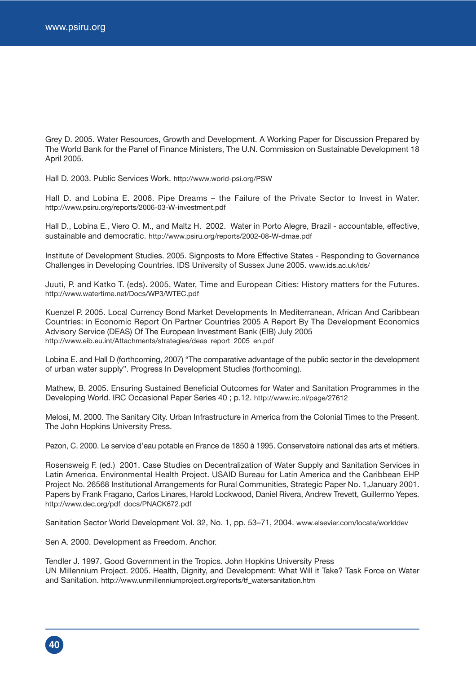Grey D. 2005. Water Resources, Growth and Development. A Working Paper for Discussion Prepared by The World Bank for the Panel of Finance Ministers, The U.N. Commission on Sustainable Development 18 April 2005.

Hall D. 2003. Public Services Work. http://www.world-psi.org/PSW

Hall D. and Lobina E. 2006. Pipe Dreams – the Failure of the Private Sector to Invest in Water. http://www.psiru.org/reports/2006-03-W-investment.pdf

Hall D., Lobina E., Viero O. M., and Maltz H. 2002. Water in Porto Alegre, Brazil - accountable, effective, sustainable and democratic. http://www.psiru.org/reports/2002-08-W-dmae.pdf

Institute of Development Studies. 2005. Signposts to More Effective States - Responding to Governance Challenges in Developing Countries. IDS University of Sussex June 2005. www.ids.ac.uk/ids/

Juuti, P. and Katko T. (eds). 2005. Water, Time and European Cities: History matters for the Futures. http://www.watertime.net/Docs/WP3/WTEC.pdf

Kuenzel P. 2005. Local Currency Bond Market Developments In Mediterranean, African And Caribbean Countries: in Economic Report On Partner Countries 2005 A Report By The Development Economics Advisory Service (DEAS) Of The European Investment Bank (EIB) July 2005 http://www.eib.eu.int/Attachments/strategies/deas\_report\_2005\_en.pdf

Lobina E. and Hall D (forthcoming, 2007) "The comparative advantage of the public sector in the development of urban water supply". Progress In Development Studies (forthcoming).

Mathew, B. 2005. Ensuring Sustained Beneficial Outcomes for Water and Sanitation Programmes in the Developing World. IRC Occasional Paper Series 40 ; p.12. http://www.irc.nl/page/27612

Melosi, M. 2000. The Sanitary City. Urban Infrastructure in America from the Colonial Times to the Present. The John Hopkins University Press.

Pezon, C. 2000. Le service d'eau potable en France de 1850 à 1995. Conservatoire national des arts et métiers.

Rosensweig F. (ed.) 2001. Case Studies on Decentralization of Water Supply and Sanitation Services in Latin America. Environmental Health Project. USAID Bureau for Latin America and the Caribbean EHP Project No. 26568 Institutional Arrangements for Rural Communities, Strategic Paper No. 1,January 2001. Papers by Frank Fragano, Carlos Linares, Harold Lockwood, Daniel Rivera, Andrew Trevett, Guillermo Yepes. http://www.dec.org/pdf\_docs/PNACK672.pdf

Sanitation Sector World Development Vol. 32, No. 1, pp. 53–71, 2004. www.elsevier.com/locate/worlddev

Sen A. 2000. Development as Freedom. Anchor.

Tendler J. 1997. Good Government in the Tropics. John Hopkins University Press UN Millennium Project. 2005. Health, Dignity, and Development: What Will it Take? Task Force on Water and Sanitation. http://www.unmillenniumproject.org/reports/tf\_watersanitation.htm

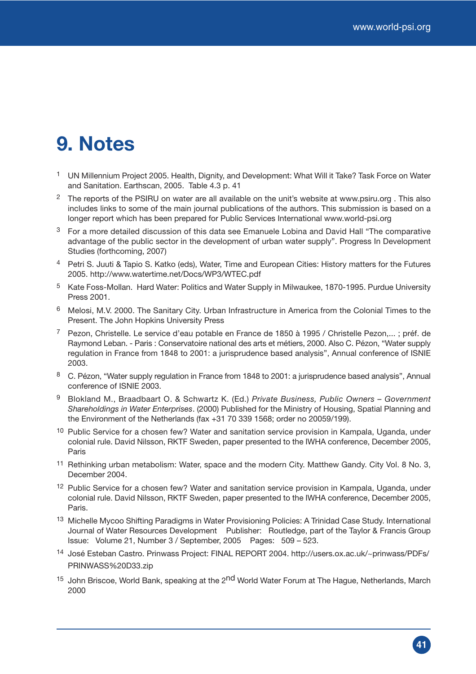## **9. Notes**

- 1 UN Millennium Project 2005. Health, Dignity, and Development: What Will it Take? Task Force on Water and Sanitation. Earthscan, 2005. Table 4.3 p. 41
- <sup>2</sup> The reports of the PSIRU on water are all available on the unit's website at www.psiru.org . This also includes links to some of the main journal publications of the authors. This submission is based on a longer report which has been prepared for Public Services International www.world-psi.org
- $3$  For a more detailed discussion of this data see Emanuele Lobina and David Hall "The comparative" advantage of the public sector in the development of urban water supply". Progress In Development Studies (forthcoming, 2007)
- 4 Petri S. Juuti & Tapio S. Katko (eds), Water, Time and European Cities: History matters for the Futures 2005. http://www.watertime.net/Docs/WP3/WTEC.pdf
- 5 Kate Foss-Mollan. Hard Water: Politics and Water Supply in Milwaukee, 1870-1995. Purdue University Press 2001.
- 6 Melosi, M.V. 2000. The Sanitary City. Urban Infrastructure in America from the Colonial Times to the Present. The John Hopkins University Press
- <sup>7</sup> Pezon, Christelle. Le service d'eau potable en France de 1850 à 1995 / Christelle Pezon,...; préf. de Raymond Leban. - Paris : Conservatoire national des arts et métiers, 2000. Also C. Pézon, "Water supply regulation in France from 1848 to 2001: a jurisprudence based analysis", Annual conference of ISNIE 2003.
- 8 C. Pézon, "Water supply regulation in France from 1848 to 2001: a jurisprudence based analysis", Annual conference of ISNIE 2003.
- 9 Blokland M., Braadbaart O. & Schwartz K. (Ed.) *Private Business, Public Owners Government Shareholdings in Water Enterprises*. (2000) Published for the Ministry of Housing, Spatial Planning and the Environment of the Netherlands (fax +31 70 339 1568; order no 20059/199).
- <sup>10</sup> Public Service for a chosen few? Water and sanitation service provision in Kampala, Uganda, under colonial rule. David Nilsson, RKTF Sweden, paper presented to the IWHA conference, December 2005, Paris
- 11 Rethinking urban metabolism: Water, space and the modern City. Matthew Gandy. City Vol. 8 No. 3, December 2004.
- <sup>12</sup> Public Service for a chosen few? Water and sanitation service provision in Kampala, Uganda, under colonial rule. David Nilsson, RKTF Sweden, paper presented to the IWHA conference, December 2005, Paris.
- 13 Michelle Mycoo Shifting Paradigms in Water Provisioning Policies: A Trinidad Case Study. International Journal of Water Resources Development Publisher: Routledge, part of the Taylor & Francis Group Issue: Volume 21, Number 3 / September, 2005 Pages: 509 – 523.
- 14 José Esteban Castro. Prinwass Project: FINAL REPORT 2004. http://users.ox.ac.uk/~prinwass/PDFs/ PRINWASS%20D33.zip
- <sup>15</sup> John Briscoe, World Bank, speaking at the 2<sup>nd</sup> World Water Forum at The Hague, Netherlands, March 2000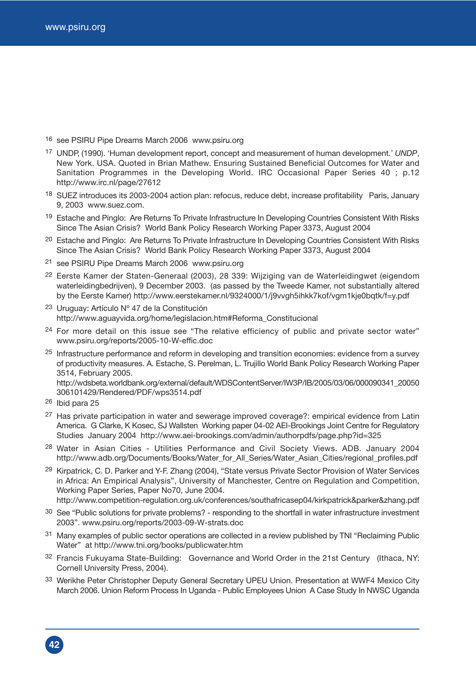16 see PSIRU Pipe Dreams March 2006 www.psiru.org

- 17 UNDP, (1990). 'Human development report, concept and measurement of human development.' *UNDP*, New York. USA. Quoted in Brian Mathew. Ensuring Sustained Beneficial Outcomes for Water and Sanitation Programmes in the Developing World. IRC Occasional Paper Series 40 ; p.12 http://www.irc.nl/page/27612
- 18 SUEZ introduces its 2003-2004 action plan: refocus, reduce debt, increase profitability Paris, January 9, 2003 www.suez.com.
- <sup>19</sup> Estache and Pinglo: Are Returns To Private Infrastructure In Developing Countries Consistent With Risks Since The Asian Crisis? World Bank Policy Research Working Paper 3373, August 2004
- <sup>20</sup> Estache and Pinglo: Are Returns To Private Infrastructure In Developing Countries Consistent With Risks Since The Asian Crisis? World Bank Policy Research Working Paper 3373, August 2004
- 21 see PSIRU Pipe Dreams March 2006 www.psiru.org
- 22 Eerste Kamer der Staten-Generaal (2003), 28 339: Wijziging van de Waterleidingwet (eigendom waterleidingbedrijven), 9 December 2003. (as passed by the Tweede Kamer, not substantially altered by the Eerste Kamer) http://www.eerstekamer.nl/9324000/1/j9vvgh5ihkk7kof/vgm1kje0bqtk/f=y.pdf
- 23 Uruguay: Artículo Nº 47 de la Constitución http://www.aguayvida.org/home/legislacion.htm#Reforma\_Constitucional
- $24$  For more detail on this issue see "The relative efficiency of public and private sector water" www.psiru.org/reports/2005-10-W-effic.doc
- 25 Infrastructure performance and reform in developing and transition economies: evidence from a survey of productivity measures. A. Estache, S. Perelman, L. Trujillo World Bank Policy Research Working Paper 3514, February 2005.

http://wdsbeta.worldbank.org/external/default/WDSContentServer/IW3P/IB/2005/03/06/000090341\_20050 306101429/Rendered/PDF/wps3514.pdf

**42**

- <sup>27</sup> Has private participation in water and sewerage improved coverage?: empirical evidence from Latin America. G Clarke, K Kosec, SJ Wallsten Working paper 04-02 AEI-Brookings Joint Centre for Regulatory Studies January 2004 http://www.aei-brookings.com/admin/authorpdfs/page.php?id=325
- <sup>28</sup> Water in Asian Cities Utilities Performance and Civil Society Views. ADB. January 2004 http://www.adb.org/Documents/Books/Water\_for\_All\_Series/Water\_Asian\_Cities/regional\_profiles.pdf
- 29 Kirpatrick, C. D. Parker and Y-F. Zhang (2004), "State versus Private Sector Provision of Water Services in Africa: An Empirical Analysis", University of Manchester, Centre on Regulation and Competition, Working Paper Series, Paper No70, June 2004.

http://www.competition-regulation.org.uk/conferences/southafricasep04/kirkpatrick&parker&zhang.pdf

- <sup>30</sup> See "Public solutions for private problems? responding to the shortfall in water infrastructure investment 2003". www.psiru.org/reports/2003-09-W-strats.doc
- <sup>31</sup> Many examples of public sector operations are collected in a review published by TNI "Reclaiming Public Water" at http://www.tni.org/books/publicwater.htm
- <sup>32</sup> Francis Fukuyama State-Building: Governance and World Order in the 21st Century (Ithaca, NY: Cornell University Press, 2004).
- 33 Werikhe Peter Christopher Deputy General Secretary UPEU Union. Presentation at WWF4 Mexico City March 2006. Union Reform Process In Uganda - Public Employees Union A Case Study In NWSC Uganda

<sup>26</sup> Ibid para 25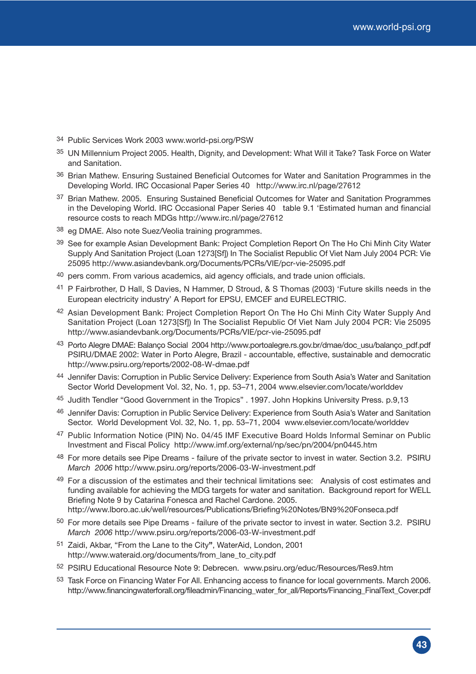- 34 Public Services Work 2003 www.world-psi.org/PSW
- 35 UN Millennium Project 2005. Health, Dignity, and Development: What Will it Take? Task Force on Water and Sanitation.
- 36 Brian Mathew. Ensuring Sustained Beneficial Outcomes for Water and Sanitation Programmes in the Developing World. IRC Occasional Paper Series 40 http://www.irc.nl/page/27612
- <sup>37</sup> Brian Mathew. 2005. Ensuring Sustained Beneficial Outcomes for Water and Sanitation Programmes in the Developing World. IRC Occasional Paper Series 40 table 9.1 'Estimated human and financial resource costs to reach MDGs http://www.irc.nl/page/27612
- 38 eg DMAE. Also note Suez/Veolia training programmes.
- 39 See for example Asian Development Bank: Project Completion Report On The Ho Chi Minh City Water Supply And Sanitation Project (Loan 1273[Sf]) In The Socialist Republic Of Viet Nam July 2004 PCR: Vie 25095 http://www.asiandevbank.org/Documents/PCRs/VIE/pcr-vie-25095.pdf
- 40 pers comm. From various academics, aid agency officials, and trade union officials.
- 41 P Fairbrother, D Hall, S Davies, N Hammer, D Stroud, & S Thomas (2003) 'Future skills needs in the European electricity industry' A Report for EPSU, EMCEF and EURELECTRIC.
- 42 Asian Development Bank: Project Completion Report On The Ho Chi Minh City Water Supply And Sanitation Project (Loan 1273[Sf]) In The Socialist Republic Of Viet Nam July 2004 PCR: Vie 25095 http://www.asiandevbank.org/Documents/PCRs/VIE/pcr-vie-25095.pdf
- 43 Porto Alegre DMAE: Balanço Social 2004 http://www.portoalegre.rs.gov.br/dmae/doc\_usu/balanço\_pdf.pdf PSIRU/DMAE 2002: Water in Porto Alegre, Brazil - accountable, effective, sustainable and democratic http://www.psiru.org/reports/2002-08-W-dmae.pdf
- 44 Jennifer Davis: Corruption in Public Service Delivery: Experience from South Asia's Water and Sanitation Sector World Development Vol. 32, No. 1, pp. 53–71, 2004 www.elsevier.com/locate/worlddev
- 45 Judith Tendler "Good Government in the Tropics" . 1997. John Hopkins University Press. p.9,13
- 46 Jennifer Davis: Corruption in Public Service Delivery: Experience from South Asia's Water and Sanitation Sector. World Development Vol. 32, No. 1, pp. 53–71, 2004 www.elsevier.com/locate/worlddev
- 47 Public Information Notice (PIN) No. 04/45 IMF Executive Board Holds Informal Seminar on Public Investment and Fiscal Policy http://www.imf.org/external/np/sec/pn/2004/pn0445.htm
- 48 For more details see Pipe Dreams failure of the private sector to invest in water. Section 3.2. PSIRU *March 2006* http://www.psiru.org/reports/2006-03-W-investment.pdf
- 49 For a discussion of the estimates and their technical limitations see: Analysis of cost estimates and funding available for achieving the MDG targets for water and sanitation. Background report for WELL Briefing Note 9 by Catarina Fonesca and Rachel Cardone. 2005. http://www.lboro.ac.uk/well/resources/Publications/Briefing%20Notes/BN9%20Fonseca.pdf
- 50 For more details see Pipe Dreams failure of the private sector to invest in water. Section 3.2. PSIRU *March 2006* http://www.psiru.org/reports/2006-03-W-investment.pdf
- 51 Zaidi, Akbar, "From the Lane to the City**"**, WaterAid, London, 2001 http://www.wateraid.org/documents/from\_lane\_to\_city.pdf
- 52 PSIRU Educational Resource Note 9: Debrecen. www.psiru.org/educ/Resources/Res9.htm
- 53 Task Force on Financing Water For All. Enhancing access to finance for local governments. March 2006. http://www.financingwaterforall.org/fileadmin/Financing\_water\_for\_all/Reports/Financing\_FinalText\_Cover.pdf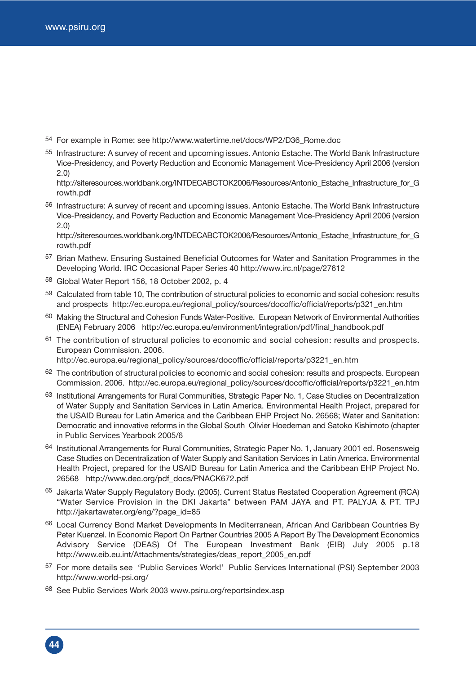54 For example in Rome: see http://www.watertime.net/docs/WP2/D36\_Rome.doc

55 Infrastructure: A survey of recent and upcoming issues. Antonio Estache. The World Bank Infrastructure Vice-Presidency, and Poverty Reduction and Economic Management Vice-Presidency April 2006 (version 2.0)

http://siteresources.worldbank.org/INTDECABCTOK2006/Resources/Antonio\_Estache\_Infrastructure\_for\_G rowth.pdf

56 Infrastructure: A survey of recent and upcoming issues. Antonio Estache. The World Bank Infrastructure Vice-Presidency, and Poverty Reduction and Economic Management Vice-Presidency April 2006 (version 2.0)

http://siteresources.worldbank.org/INTDECABCTOK2006/Resources/Antonio\_Estache\_Infrastructure\_for\_G rowth.pdf

- 57 Brian Mathew. Ensuring Sustained Beneficial Outcomes for Water and Sanitation Programmes in the Developing World. IRC Occasional Paper Series 40 http://www.irc.nl/page/27612
- 58 Global Water Report 156, 18 October 2002, p. 4
- 59 Calculated from table 10, The contribution of structural policies to economic and social cohesion: results and prospects http://ec.europa.eu/regional\_policy/sources/docoffic/official/reports/p321\_en.htm
- 60 Making the Structural and Cohesion Funds Water-Positive. European Network of Environmental Authorities (ENEA) February 2006 http://ec.europa.eu/environment/integration/pdf/final\_handbook.pdf
- $61$  The contribution of structural policies to economic and social cohesion: results and prospects. European Commission. 2006.

http://ec.europa.eu/regional\_policy/sources/docoffic/official/reports/p3221\_en.htm

- <sup>62</sup> The contribution of structural policies to economic and social cohesion: results and prospects. European Commission. 2006. http://ec.europa.eu/regional\_policy/sources/docoffic/official/reports/p3221\_en.htm
- 63 Institutional Arrangements for Rural Communities, Strategic Paper No. 1, Case Studies on Decentralization of Water Supply and Sanitation Services in Latin America. Environmental Health Project, prepared for the USAID Bureau for Latin America and the Caribbean EHP Project No. 26568; Water and Sanitation: Democratic and innovative reforms in the Global South Olivier Hoedeman and Satoko Kishimoto (chapter in Public Services Yearbook 2005/6
- 64 Institutional Arrangements for Rural Communities, Strategic Paper No. 1, January 2001 ed. Rosensweig Case Studies on Decentralization of Water Supply and Sanitation Services in Latin America. Environmental Health Project, prepared for the USAID Bureau for Latin America and the Caribbean EHP Project No. 26568 http://www.dec.org/pdf\_docs/PNACK672.pdf
- 65 Jakarta Water Supply Regulatory Body. (2005). Current Status Restated Cooperation Agreement (RCA) "Water Service Provision in the DKI Jakarta" between PAM JAYA and PT. PALYJA & PT. TPJ http://jakartawater.org/eng/?page\_id=85
- 66 Local Currency Bond Market Developments In Mediterranean, African And Caribbean Countries By Peter Kuenzel. In Economic Report On Partner Countries 2005 A Report By The Development Economics Advisory Service (DEAS) Of The European Investment Bank (EIB) July 2005 p.18 http://www.eib.eu.int/Attachments/strategies/deas\_report\_2005\_en.pdf
- 57 For more details see 'Public Services Work!' Public Services International (PSI) September 2003 http://www.world-psi.org/
- 68 See Public Services Work 2003 www.psiru.org/reportsindex.asp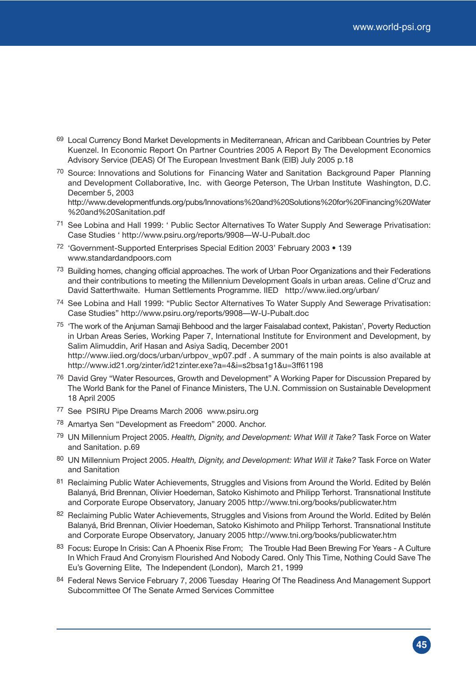- 69 Local Currency Bond Market Developments in Mediterranean, African and Caribbean Countries by Peter Kuenzel. In Economic Report On Partner Countries 2005 A Report By The Development Economics Advisory Service (DEAS) Of The European Investment Bank (EIB) July 2005 p.18
- 70 Source: Innovations and Solutions for Financing Water and Sanitation Background Paper Planning and Development Collaborative, Inc. with George Peterson, The Urban Institute Washington, D.C. December 5, 2003

http://www.developmentfunds.org/pubs/Innovations%20and%20Solutions%20for%20Financing%20Water %20and%20Sanitation.pdf

- 71 See Lobina and Hall 1999: ' Public Sector Alternatives To Water Supply And Sewerage Privatisation: Case Studies ' http://www.psiru.org/reports/9908—W-U-Pubalt.doc
- 72 'Government-Supported Enterprises Special Edition 2003' February 2003 139 www.standardandpoors.com
- <sup>73</sup> Building homes, changing official approaches. The work of Urban Poor Organizations and their Federations and their contributions to meeting the Millennium Development Goals in urban areas. Celine d'Cruz and David Satterthwaite. Human Settlements Programme. IIED http://www.iied.org/urban/
- 74 See Lobina and Hall 1999: "Public Sector Alternatives To Water Supply And Sewerage Privatisation: Case Studies" http://www.psiru.org/reports/9908—W-U-Pubalt.doc
- 75 'The work of the Anjuman Samaji Behbood and the larger Faisalabad context, Pakistan', Poverty Reduction in Urban Areas Series, Working Paper 7, International Institute for Environment and Development, by Salim Alimuddin, Arif Hasan and Asiya Sadiq, December 2001 http://www.iied.org/docs/urban/urbpov\_wp07.pdf . A summary of the main points is also available at http://www.id21.org/zinter/id21zinter.exe?a=4&i=s2bsa1g1&u=3ff61198
- <sup>76</sup> David Grey "Water Resources, Growth and Development" A Working Paper for Discussion Prepared by The World Bank for the Panel of Finance Ministers, The U.N. Commission on Sustainable Development 18 April 2005
- 77 See PSIRU Pipe Dreams March 2006 www.psiru.org
- 78 Amartya Sen "Development as Freedom" 2000. Anchor.
- 79 UN Millennium Project 2005. *Health, Dignity, and Development: What Will it Take?* Task Force on Water and Sanitation. p.69
- 80 UN Millennium Project 2005. *Health, Dignity, and Development: What Will it Take?* Task Force on Water and Sanitation
- 81 Reclaiming Public Water Achievements, Struggles and Visions from Around the World. Edited by Belén Balanyá, Brid Brennan, Olivier Hoedeman, Satoko Kishimoto and Philipp Terhorst. Transnational Institute and Corporate Europe Observatory, January 2005 http://www.tni.org/books/publicwater.htm
- 82 Reclaiming Public Water Achievements, Struggles and Visions from Around the World. Edited by Belén Balanyá, Brid Brennan, Olivier Hoedeman, Satoko Kishimoto and Philipp Terhorst. Transnational Institute and Corporate Europe Observatory, January 2005 http://www.tni.org/books/publicwater.htm
- 83 Focus: Europe In Crisis: Can A Phoenix Rise From; The Trouble Had Been Brewing For Years A Culture In Which Fraud And Cronyism Flourished And Nobody Cared. Only This Time, Nothing Could Save The Eu's Governing Elite, The Independent (London), March 21, 1999
- 84 Federal News Service February 7, 2006 Tuesday Hearing Of The Readiness And Management Support Subcommittee Of The Senate Armed Services Committee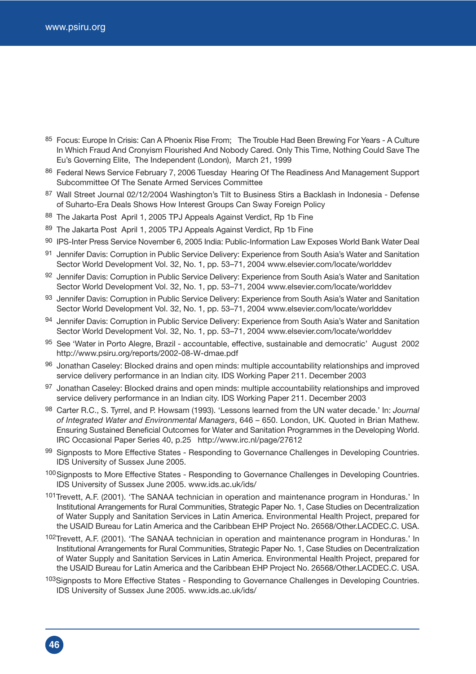- 85 Focus: Europe In Crisis: Can A Phoenix Rise From; The Trouble Had Been Brewing For Years A Culture In Which Fraud And Cronyism Flourished And Nobody Cared. Only This Time, Nothing Could Save The Eu's Governing Elite, The Independent (London), March 21, 1999
- 86 Federal News Service February 7, 2006 Tuesday Hearing Of The Readiness And Management Support Subcommittee Of The Senate Armed Services Committee
- 87 Wall Street Journal 02/12/2004 Washington's Tilt to Business Stirs a Backlash in Indonesia Defense of Suharto-Era Deals Shows How Interest Groups Can Sway Foreign Policy
- 88 The Jakarta Post April 1, 2005 TPJ Appeals Against Verdict, Rp 1b Fine
- 89 The Jakarta Post April 1, 2005 TPJ Appeals Against Verdict, Rp 1b Fine
- 90 IPS-Inter Press Service November 6, 2005 India: Public-Information Law Exposes World Bank Water Deal
- 91 Jennifer Davis: Corruption in Public Service Delivery: Experience from South Asia's Water and Sanitation Sector World Development Vol. 32, No. 1, pp. 53–71, 2004 www.elsevier.com/locate/worlddev
- 92 Jennifer Davis: Corruption in Public Service Delivery: Experience from South Asia's Water and Sanitation Sector World Development Vol. 32, No. 1, pp. 53–71, 2004 www.elsevier.com/locate/worlddev
- 93 Jennifer Davis: Corruption in Public Service Delivery: Experience from South Asia's Water and Sanitation Sector World Development Vol. 32, No. 1, pp. 53–71, 2004 www.elsevier.com/locate/worlddev
- 94 Jennifer Davis: Corruption in Public Service Delivery: Experience from South Asia's Water and Sanitation Sector World Development Vol. 32, No. 1, pp. 53–71, 2004 www.elsevier.com/locate/worlddev
- 95 See 'Water in Porto Alegre, Brazil accountable, effective, sustainable and democratic' August 2002 http://www.psiru.org/reports/2002-08-W-dmae.pdf
- 96 Jonathan Caseley: Blocked drains and open minds: multiple accountability relationships and improved service delivery performance in an Indian city. IDS Working Paper 211. December 2003
- 97 Jonathan Caseley: Blocked drains and open minds: multiple accountability relationships and improved service delivery performance in an Indian city. IDS Working Paper 211. December 2003
- 98 Carter R.C., S. Tyrrel, and P. Howsam (1993). 'Lessons learned from the UN water decade.' In: *Journal of Integrated Water and Environmental Managers*, 646 – 650. London, UK. Quoted in Brian Mathew. Ensuring Sustained Beneficial Outcomes for Water and Sanitation Programmes in the Developing World. IRC Occasional Paper Series 40, p.25 http://www.irc.nl/page/27612
- 99 Signposts to More Effective States Responding to Governance Challenges in Developing Countries. IDS University of Sussex June 2005.
- 100 Signposts to More Effective States Responding to Governance Challenges in Developing Countries. IDS University of Sussex June 2005. www.ids.ac.uk/ids/
- 101Trevett, A.F. (2001). 'The SANAA technician in operation and maintenance program in Honduras.' In Institutional Arrangements for Rural Communities, Strategic Paper No. 1, Case Studies on Decentralization of Water Supply and Sanitation Services in Latin America. Environmental Health Project, prepared for the USAID Bureau for Latin America and the Caribbean EHP Project No. 26568/Other.LACDEC.C. USA.
- 102Trevett, A.F. (2001). 'The SANAA technician in operation and maintenance program in Honduras.' In Institutional Arrangements for Rural Communities, Strategic Paper No. 1, Case Studies on Decentralization of Water Supply and Sanitation Services in Latin America. Environmental Health Project, prepared for the USAID Bureau for Latin America and the Caribbean EHP Project No. 26568/Other.LACDEC.C. USA.
- 103Signposts to More Effective States Responding to Governance Challenges in Developing Countries. IDS University of Sussex June 2005. www.ids.ac.uk/ids/

**46**